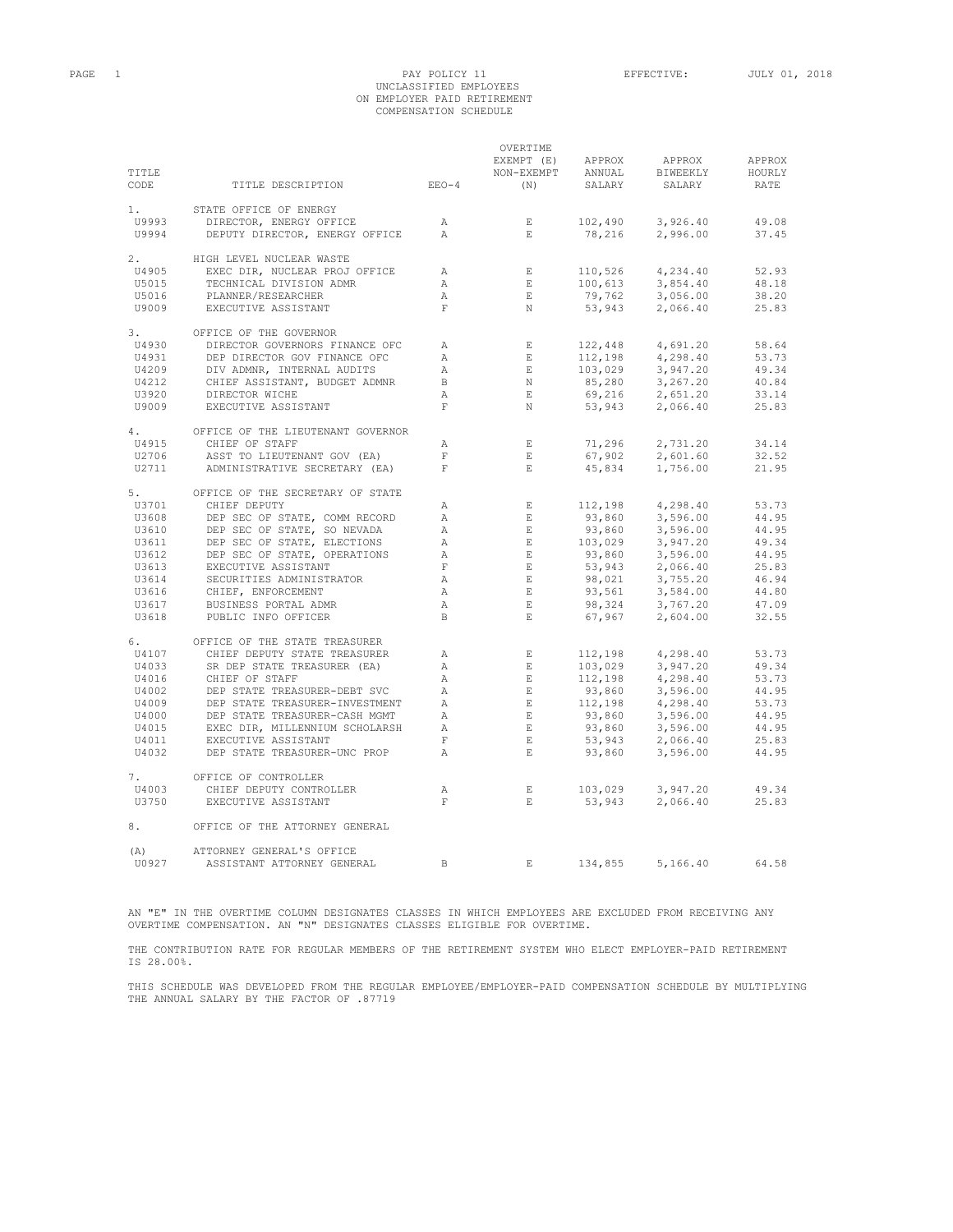# PAGE 1 PAY POLICY 11 EFFECTIVE: JULY 01, 2018 UNCLASSIFIED EMPLOYEES ON EMPLOYER PAID RETIREMENT COMPENSATION SCHEDULE

|              |                                                             |                | OVERTIME                        |                                                                                                 |          |        |
|--------------|-------------------------------------------------------------|----------------|---------------------------------|-------------------------------------------------------------------------------------------------|----------|--------|
|              |                                                             |                | EXEMPT (E)                      | APPROX                                                                                          | APPROX   | APPROX |
| TITLE        |                                                             |                | NON-EXEMPT                      | ANNUAL                                                                                          | BIWEEKLY | HOURLY |
| CODE         | TITLE DESCRIPTION                                           | $EEO-4$        | (N)                             | SALARY                                                                                          | SALARY   | RATE   |
|              |                                                             |                |                                 |                                                                                                 |          |        |
| 1.           | STATE OFFICE OF ENERGY                                      |                |                                 |                                                                                                 |          |        |
| U9993        |                                                             |                |                                 |                                                                                                 |          |        |
|              | DIRECTOR, ENERGY OFFICE                                     | A              | E                               | 102,490                                                                                         | 3,926.40 | 49.08  |
| U9994        | DEPUTY DIRECTOR, ENERGY OFFICE                              | A              | $E_{\rm c}$                     | 78,216                                                                                          | 2,996.00 | 37.45  |
|              |                                                             |                |                                 |                                                                                                 |          |        |
| 2.           | HIGH LEVEL NUCLEAR WASTE                                    |                |                                 |                                                                                                 |          |        |
| U4905        | EXEC DIR, NUCLEAR PROJ OFFICE                               | $\mathbb{A}$   | $\mathbb{Z}^n$ .<br><br>In Fig. | 110,526                                                                                         | 4,234.40 | 52.93  |
| U5015        | TECHNICAL DIVISION ADMR                                     | $\mathbb{A}$   | $-$ E $\,$                      | 100,613                                                                                         | 3,854.40 | 48.18  |
| U5016        | PLANNER/RESEARCHER                                          | $\mathbb{A}$   | E                               | 79,762                                                                                          | 3,056.00 | 38.20  |
| U9009        | EXECUTIVE ASSISTANT                                         | F              | $\mathbb N$                     | 53,943                                                                                          | 2,066.40 | 25.83  |
|              |                                                             |                |                                 |                                                                                                 |          |        |
| 3.           | OFFICE OF THE GOVERNOR                                      |                |                                 |                                                                                                 |          |        |
| U4930        | DIRECTOR GOVERNORS FINANCE OFC                              | $\mathbb{A}$   | $\_$ $\_$ $\_$                  | 122,448                                                                                         | 4,691.20 | 58.64  |
| U4931        | DEP DIRECTOR GOV FINANCE OFC                                | A              | E                               |                                                                                                 | 4,298.40 | 53.73  |
| U4209        | DIV ADMNR, INTERNAL AUDITS<br>CHIEF ASSISTANT, BUDGET ADMNR | A              | E                               |                                                                                                 | 3,947.20 | 49.34  |
| U4212        |                                                             | $\mathbf{B}$   | $\;$ N                          |                                                                                                 | 3,267.20 | 40.84  |
| U3920        | DIRECTOR WICHE                                              | $\mathbb{A}$   | E                               |                                                                                                 | 2,651.20 | 33.14  |
| U9009        | EXECUTIVE ASSISTANT                                         | $\mathbf{F}$   | $_{\rm N}$                      | $112,198$<br>$103,029$<br>$85,280$<br>$69,216$<br>$53,943$                                      | 2,066.40 | 25.83  |
|              |                                                             |                |                                 |                                                                                                 |          |        |
|              |                                                             |                |                                 |                                                                                                 |          |        |
| 4.           | OFFICE OF THE LIEUTENANT GOVERNOR                           |                |                                 |                                                                                                 |          |        |
| U4915        | CHIEF OF STAFF                                              | $\mathbb{A}$   | $\mathbf{E}$                    | 71,296                                                                                          | 2,731.20 | 34.14  |
| U2706        | ASST TO LIEUTENANT GOV (EA)                                 | F              | E                               | 67,902<br>45,834                                                                                | 2,601.60 | 32.52  |
| U2711        | ADMINISTRATIVE SECRETARY (EA)                               | F              | $E_{\rm c}$                     |                                                                                                 | 1,756.00 | 21.95  |
|              |                                                             |                |                                 |                                                                                                 |          |        |
| 5.           | OFFICE OF THE SECRETARY OF STATE                            |                |                                 |                                                                                                 |          |        |
| U3701        | CHIEF DEPUTY                                                | Α              | $\mathbb{E}$                    | 112,198                                                                                         | 4,298.40 | 53.73  |
| U3608        | DEP SEC OF STATE, COMM RECORD                               | $\mathbb{A}$   | E                               | 93,860                                                                                          | 3,596.00 | 44.95  |
| U3610        | DEP SEC OF STATE, SO NEVADA                                 | $\mathbb{A}$   | E                               | $93,860$<br>$103,029$                                                                           | 3,596.00 | 44.95  |
| U3611        | DEP SEC OF STATE, ELECTIONS                                 | Α              | $\quad$ E                       |                                                                                                 | 3,947.20 | 49.34  |
| U3612        | DEP SEC OF STATE, OPERATIONS                                | $\mathbb{A}$   | $\_E$                           |                                                                                                 | 3,596.00 | 44.95  |
| U3613        | EXECUTIVE ASSISTANT                                         | $\;$ F         | $\quad$ E                       |                                                                                                 | 2,066.40 | 25.83  |
| U3614        | SECURITIES ADMINISTRATOR                                    | $\mathbb{A}$   | E                               |                                                                                                 | 3,755.20 | 46.94  |
| U3616        | CHIEF, ENFORCEMENT                                          | A              | E                               | $103,029$<br>93,860<br>53,943<br>98,021<br>93,561<br>93,324<br>98,324                           | 3,584.00 | 44.80  |
|              | BUSINESS PORTAL ADMR                                        |                | E                               |                                                                                                 |          | 47.09  |
| U3617        |                                                             | $\mathbb{A}$   |                                 |                                                                                                 | 3,767.20 |        |
| U3618        | PUBLIC INFO OFFICER                                         | $\mathbf{B}$   | E                               | 67,967                                                                                          | 2,604.00 | 32.55  |
|              |                                                             |                |                                 |                                                                                                 |          |        |
| 6.           | OFFICE OF THE STATE TREASURER                               |                |                                 |                                                                                                 |          |        |
| U4107        | CHIEF DEPUTY STATE TREASURER                                | Α              | E                               | 112,198                                                                                         | 4,298.40 | 53.73  |
| U4033        | SR DEP STATE TREASURER (EA)                                 | Α              | E                               | $112,198$<br>$112,198$<br>$93,860$<br>$112,198$<br>$93,860$<br>$93,860$<br>$93,860$<br>$53,943$ | 3,947.20 | 49.34  |
| U4016        | CHIEF OF STAFF                                              | $\mathbb{A}$   | $\quad$ E                       |                                                                                                 | 4,298.40 | 53.73  |
| U4002        | DEP STATE TREASURER-DEBT SVC                                | $\mathbb{A}$   | E                               |                                                                                                 | 3,596.00 | 44.95  |
| U4009        | DEP STATE TREASURER-INVESTMENT                              | $\mathbb{A}$   | E                               |                                                                                                 | 4,298.40 | 53.73  |
| U4000        | DEP STATE TREASURER-CASH MGMT                               | $\mathbb{A}$   | E                               |                                                                                                 | 3,596.00 | 44.95  |
| U4015        | EXEC DIR, MILLENNIUM SCHOLARSH                              | A              | E                               |                                                                                                 | 3,596.00 | 44.95  |
| U4011        | EXECUTIVE ASSISTANT                                         | F              | E                               |                                                                                                 | 2,066.40 | 25.83  |
| U4032        | DEP STATE TREASURER-UNC PROP                                | $\overline{A}$ | $\_E$                           | 93,860                                                                                          | 3,596.00 | 44.95  |
|              |                                                             |                |                                 |                                                                                                 |          |        |
| 7.           | OFFICE OF CONTROLLER                                        |                |                                 |                                                                                                 |          |        |
| U4003        | CHIEF DEPUTY CONTROLLER                                     | А              | $\mathbf E$                     | 103,029                                                                                         | 3,947.20 | 49.34  |
| U3750        | EXECUTIVE ASSISTANT                                         | F              | $E_{\rm c}$                     | 53,943                                                                                          | 2,066.40 | 25.83  |
|              |                                                             |                |                                 |                                                                                                 |          |        |
| 8.           | OFFICE OF THE ATTORNEY GENERAL                              |                |                                 |                                                                                                 |          |        |
|              |                                                             |                |                                 |                                                                                                 |          |        |
|              | ATTORNEY GENERAL'S OFFICE                                   |                |                                 |                                                                                                 |          |        |
| (A)<br>U0927 | ASSISTANT ATTORNEY GENERAL                                  | $\overline{B}$ | $\mathbf{F}_i$                  | 134,855                                                                                         |          | 64.58  |
|              |                                                             |                |                                 |                                                                                                 | 5,166.40 |        |

AN "E" IN THE OVERTIME COLUMN DESIGNATES CLASSES IN WHICH EMPLOYEES ARE EXCLUDED FROM RECEIVING ANY OVERTIME COMPENSATION. AN "N" DESIGNATES CLASSES ELIGIBLE FOR OVERTIME.

THE CONTRIBUTION RATE FOR REGULAR MEMBERS OF THE RETIREMENT SYSTEM WHO ELECT EMPLOYER-PAID RETIREMENT IS 28.00%.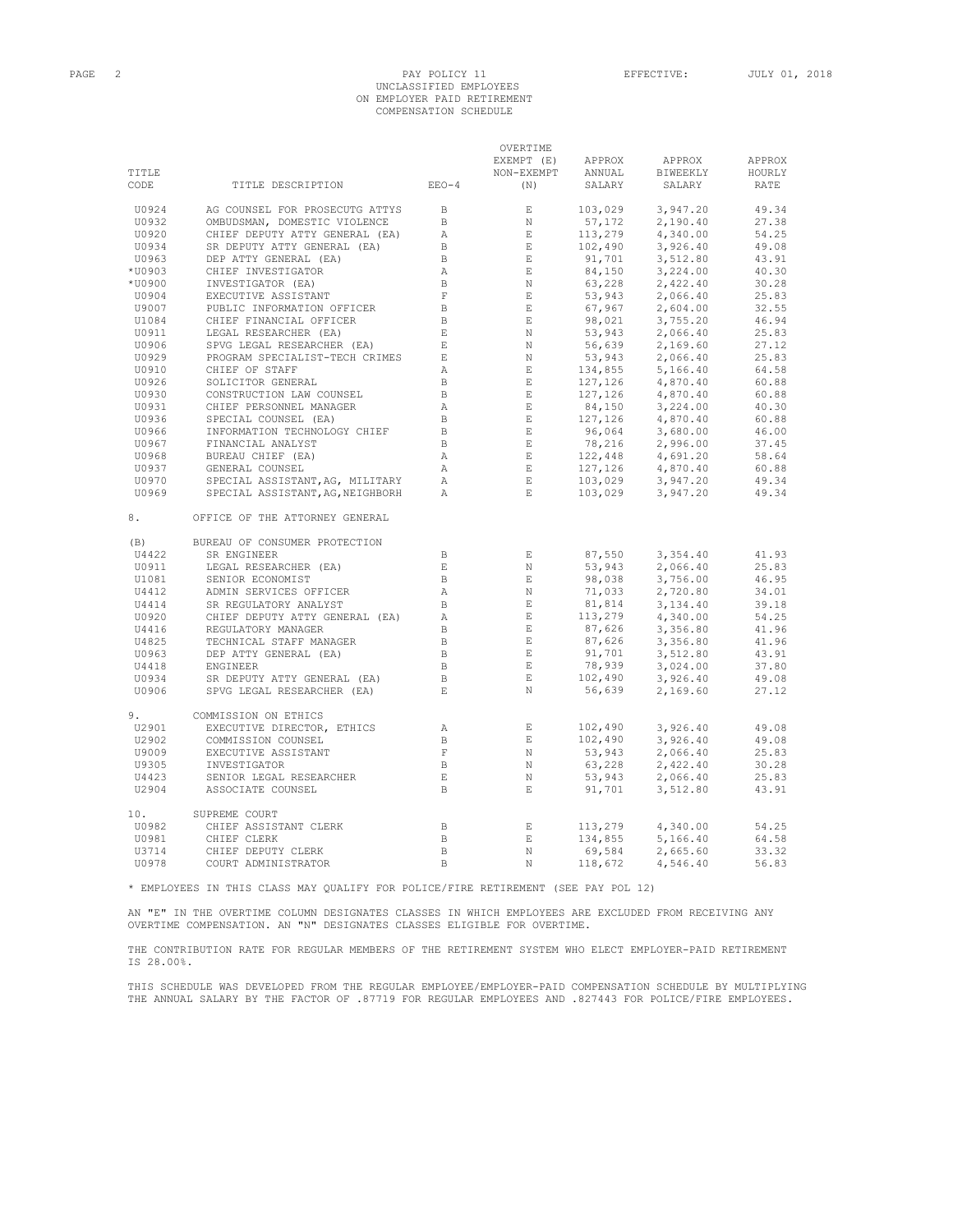### PAGE 2 PAY POLICY 11 EFFECTIVE: JULY 01, 2018 UNCLASSIFIED EMPLOYEES ON EMPLOYER PAID RETIREMENT COMPENSATION SCHEDULE

OVERTIME

|        |                                                                                                                                                                               |                          | EXEMPT (E)    | APPROX                                                                            | APPROX                                                                                                                                                                                                                                                                   | APPROX |
|--------|-------------------------------------------------------------------------------------------------------------------------------------------------------------------------------|--------------------------|---------------|-----------------------------------------------------------------------------------|--------------------------------------------------------------------------------------------------------------------------------------------------------------------------------------------------------------------------------------------------------------------------|--------|
| TITLE  |                                                                                                                                                                               |                          | NON-EXEMPT    | ANNUAL                                                                            | BIWEEKLY                                                                                                                                                                                                                                                                 | HOURLY |
| CODE   | TITLE DESCRIPTION EEO-4                                                                                                                                                       |                          | (N)           | SALARY                                                                            | SALARY                                                                                                                                                                                                                                                                   | RATE   |
| U0924  | AG COUNSEL FOR PROSECUTG ATTYS                                                                                                                                                | $\Box$                   | $\mathbf E$   | 103,029                                                                           | 3,947.20                                                                                                                                                                                                                                                                 | 49.34  |
| U0932  | OMBUDSMAN, DOMESTIC VIOLENCE                                                                                                                                                  | B                        | $\,$ N        |                                                                                   | 2,190.40                                                                                                                                                                                                                                                                 | 27.38  |
| U0920  | CHIEF DEPUTY ATTY GENERAL (EA)                                                                                                                                                | A                        | $\quad$ E     | $57,172$<br>113,279                                                               | 4,340.00                                                                                                                                                                                                                                                                 | 54.25  |
| U0934  | SR DEPUTY ATTY GENERAL (EA)                                                                                                                                                   | $\mathbf{B}$             | $\mathbf{E}$  |                                                                                   | 3,926.40                                                                                                                                                                                                                                                                 | 49.08  |
| U0963  | DEP ATTY GENERAL (EA)                                                                                                                                                         | $\mathbb B$              | E             |                                                                                   | 3,512.80                                                                                                                                                                                                                                                                 | 43.91  |
| *U0903 | CHIEF INVESTIGATOR                                                                                                                                                            | $\mathbb{A}$             | $\quad$ E     | $102,490$<br>91,701<br>84,150                                                     |                                                                                                                                                                                                                                                                          | 40.30  |
| *U0900 | INVESTIGATOR (EA)                                                                                                                                                             | $\,$ B                   | $\;$ N        |                                                                                   |                                                                                                                                                                                                                                                                          | 30.28  |
| U0904  | EXECUTIVE ASSISTANT                                                                                                                                                           | $\;$ F                   | E             |                                                                                   |                                                                                                                                                                                                                                                                          | 25.83  |
| U9007  | PUBLIC INFORMATION OFFICER                                                                                                                                                    | $\Box$                   | E             |                                                                                   |                                                                                                                                                                                                                                                                          | 32.55  |
| U1084  | CHIEF FINANCIAL OFFICER                                                                                                                                                       | $\Box$                   | $\quad$ E     |                                                                                   |                                                                                                                                                                                                                                                                          | 46.94  |
| U0911  | LEGAL RESEARCHER (EA)<br>SPVG LEGAL RESEARCHER (EA)<br>PROGRAM SPECIALIST-TECH CRIMES                                                                                         | $\,$ E                   | $\,$ N        |                                                                                   |                                                                                                                                                                                                                                                                          | 25.83  |
| U0906  |                                                                                                                                                                               | $\quad$ E                | N             |                                                                                   |                                                                                                                                                                                                                                                                          | 27.12  |
| U0929  |                                                                                                                                                                               | $\mathop{}\mathopen{} E$ | N             |                                                                                   |                                                                                                                                                                                                                                                                          | 25.83  |
| U0910  |                                                                                                                                                                               | $\mathbb{A}$             | $\parallel$ E |                                                                                   |                                                                                                                                                                                                                                                                          | 64.58  |
| U0926  | CHIEF OF STAFF<br>SOLICITOR GENERAL<br>CONSTRUCTION LAW COUNSEL<br>CHIEF PERSONNEL MANAGER                                                                                    | B                        | E             |                                                                                   |                                                                                                                                                                                                                                                                          | 60.88  |
| U0930  |                                                                                                                                                                               | $\mathbf B$              | E             |                                                                                   |                                                                                                                                                                                                                                                                          | 60.88  |
| U0931  |                                                                                                                                                                               | A                        | E             |                                                                                   |                                                                                                                                                                                                                                                                          | 40.30  |
| U0936  |                                                                                                                                                                               | $\mathbf B$              | $\mathbb{E}$  |                                                                                   |                                                                                                                                                                                                                                                                          | 60.88  |
| U0966  | SPECIAL COUNSEL (EA)<br>INFORMATION TECHNOLOGY CHIEF<br>FINANCIAL ANALYST                                                                                                     | $\overline{B}$           | $\mathbb E$ . |                                                                                   |                                                                                                                                                                                                                                                                          | 46.00  |
| U0967  |                                                                                                                                                                               | $\Box$                   | $-$ E $\,$    |                                                                                   |                                                                                                                                                                                                                                                                          | 37.45  |
| U0968  |                                                                                                                                                                               | A                        | E             |                                                                                   |                                                                                                                                                                                                                                                                          | 58.64  |
| U0937  | BUREAU CHIEF (EA)<br>GENERAL COUNSEL                                                                                                                                          | A                        | E             |                                                                                   |                                                                                                                                                                                                                                                                          | 60.88  |
| U0970  | SPECIAL ASSISTANT, AG, MILITARY                                                                                                                                               | $\mathbb{A}$             | $\mathbb E$ . |                                                                                   |                                                                                                                                                                                                                                                                          | 49.34  |
| U0969  | SPECIAL ASSISTANT, AG, NEIGHBORH                                                                                                                                              | A                        | E             |                                                                                   | 91, 701<br>84, 150<br>63, 228<br>2, 422. 40<br>67, 967<br>2, 604. 00<br>98, 021<br>3, 755. 20<br>53, 943<br>2, 066. 40<br>56, 639<br>2, 066. 40<br>56, 639<br>2, 169. 60<br>53, 943<br>2, 066. 40<br>127, 126<br>4, 870. 40<br>96, 064<br>3, 224. 00<br>96, 064<br>3, 22 | 49.34  |
| 8.     | OFFICE OF THE ATTORNEY GENERAL                                                                                                                                                |                          |               |                                                                                   |                                                                                                                                                                                                                                                                          |        |
| (B)    | BUREAU OF CONSUMER PROTECTION                                                                                                                                                 |                          |               |                                                                                   |                                                                                                                                                                                                                                                                          |        |
| U4422  | SR ENGINEER                                                                                                                                                                   | B                        | E             | 87,550                                                                            | 3,354.40                                                                                                                                                                                                                                                                 | 41.93  |
| U0911  | SK ENGINEER<br>LEGAL RESEARCHER (EA)<br>SENIOR ECONOMIST<br>ADMIN SERVICES OFFICER<br>SR REGULATORY ANALYST<br>CHIEF DEPUTY ATTY GENERAL (EA)<br>NEGULATORY ANTY GENERAL (EA) | $\mathop{}\mathbb{E}$    | $_{\rm N}$    | 87,550<br>53,943<br>98,038<br>71,033<br>81,814<br>13,279<br>37,279                | 2,066.40                                                                                                                                                                                                                                                                 | 25.83  |
| U1081  |                                                                                                                                                                               | $\mathbf{B}$             | E             |                                                                                   | 3,756.00                                                                                                                                                                                                                                                                 | 46.95  |
| U4412  |                                                                                                                                                                               | $\mathbb{A}$             | $\mathbb N$   |                                                                                   | 2,720.80                                                                                                                                                                                                                                                                 | 34.01  |
| U4414  |                                                                                                                                                                               | $\mathbf{B}$             | $\quad$ E     |                                                                                   | 3,134.40                                                                                                                                                                                                                                                                 | 39.18  |
| U0920  |                                                                                                                                                                               | $\mathbb{A}$             | E             |                                                                                   | 4,340.00                                                                                                                                                                                                                                                                 | 54.25  |
| U4416  | REGULATORY MANAGER<br>TECHNICAL STAFF MANAGER<br>DEP ATTY GENERAL (EA)<br>ENGINEER<br>SR DEPUTY ATTY GENERAL (EA)                                                             | $\mathbf B$              | $\quad$ E     |                                                                                   | 3,356.80                                                                                                                                                                                                                                                                 | 41.96  |
| U4825  |                                                                                                                                                                               | $\Box$                   | E             |                                                                                   | 3,356.80                                                                                                                                                                                                                                                                 | 41.96  |
| U0963  |                                                                                                                                                                               | $\overline{B}$           | $\quad$ E     |                                                                                   | 3,512.80                                                                                                                                                                                                                                                                 | 43.91  |
| U4418  |                                                                                                                                                                               | $\Box$                   | E             |                                                                                   | 3,024.00                                                                                                                                                                                                                                                                 | 37.80  |
| U0934  |                                                                                                                                                                               | $\mathbb B$              | $\,$ E        |                                                                                   | 3,926.40                                                                                                                                                                                                                                                                 | 49.08  |
| U0906  | SPVG LEGAL RESEARCHER (EA)                                                                                                                                                    | E                        | N             | $87,626$<br>$87,626$<br>$87,626$<br>$91,701$<br>$78,939$<br>$102,490$<br>$56,639$ | 2,169.60                                                                                                                                                                                                                                                                 | 27.12  |
| 9.     | COMMISSION ON ETHICS                                                                                                                                                          |                          |               |                                                                                   |                                                                                                                                                                                                                                                                          |        |
| U2901  | EXECUTIVE DIRECTOR, ETHICS                                                                                                                                                    | A                        | $\,$ E        | 102,490                                                                           | 3,926.40                                                                                                                                                                                                                                                                 | 49.08  |
| U2902  | COMMISSION COUNSEL                                                                                                                                                            | $\mathbb B$              | $\,$ E        | 102,490                                                                           | 3,926.40                                                                                                                                                                                                                                                                 | 49.08  |
| U9009  | EXECUTIVE ASSISTANT                                                                                                                                                           | F                        | N             | 53,943<br>63,228<br>53,943                                                        | 2,066.40                                                                                                                                                                                                                                                                 | 25.83  |
| U9305  | INVESTIGATOR<br>SENIOR LEGAL RESEARCHER                                                                                                                                       | $\mathbb B$              | N             |                                                                                   | 2,422.40                                                                                                                                                                                                                                                                 | 30.28  |
| U4423  |                                                                                                                                                                               | E                        | $_{\rm N}$    |                                                                                   | 2,066.40                                                                                                                                                                                                                                                                 | 25.83  |
| U2904  | ASSOCIATE COUNSEL                                                                                                                                                             | $\Box$                   | $\mathbf E$   | 91,701                                                                            | 3,512.80                                                                                                                                                                                                                                                                 | 43.91  |
| 10.    | SUPREME COURT                                                                                                                                                                 |                          |               |                                                                                   |                                                                                                                                                                                                                                                                          |        |
| U0982  | CHIEF ASSISTANT CLERK                                                                                                                                                         | $\Box$                   | $\mathbf{E}$  | 113,279                                                                           | 4,340.00                                                                                                                                                                                                                                                                 | 54.25  |
| U0981  | CHIEF CLERK                                                                                                                                                                   | $\Box$                   | $\,$ E        | 134,855                                                                           | 5,166.40                                                                                                                                                                                                                                                                 | 64.58  |
| U3714  | CHIEF DEPUTY CLERK                                                                                                                                                            | $\mathbf{B}$             | $\mathbb N$   | 69,584                                                                            | 2,665.60                                                                                                                                                                                                                                                                 | 33.32  |
| U0978  | COURT ADMINISTRATOR                                                                                                                                                           | $\overline{B}$           | $_{\rm N}$    | 118,672                                                                           | 4,546.40                                                                                                                                                                                                                                                                 | 56.83  |

\* EMPLOYEES IN THIS CLASS MAY QUALIFY FOR POLICE/FIRE RETIREMENT (SEE PAY POL 12)

AN "E" IN THE OVERTIME COLUMN DESIGNATES CLASSES IN WHICH EMPLOYEES ARE EXCLUDED FROM RECEIVING ANY OVERTIME COMPENSATION. AN "N" DESIGNATES CLASSES ELIGIBLE FOR OVERTIME.

THE CONTRIBUTION RATE FOR REGULAR MEMBERS OF THE RETIREMENT SYSTEM WHO ELECT EMPLOYER-PAID RETIREMENT IS 28.00%.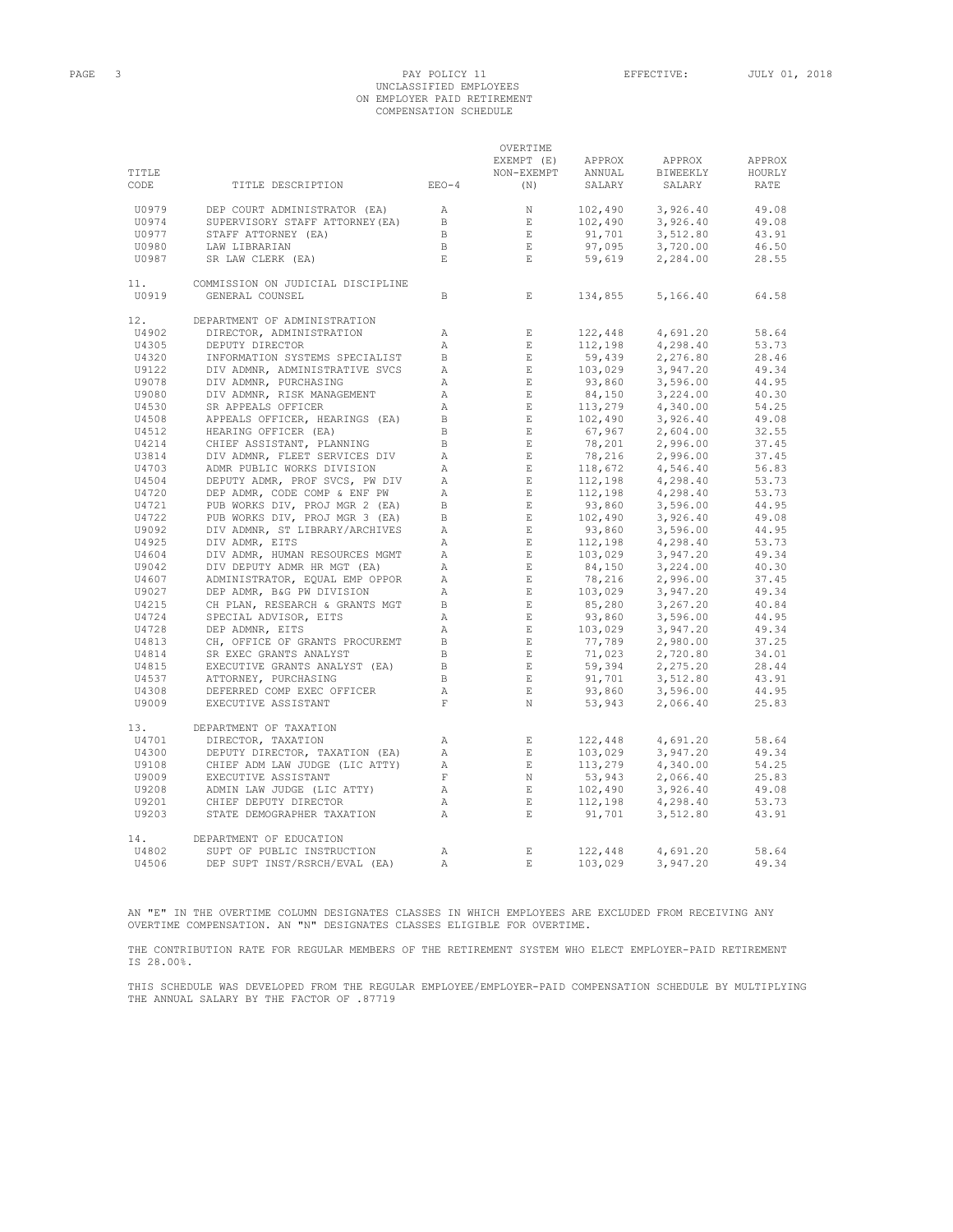# PAGE 3 PAY POLICY 11 EFFECTIVE: JULY 01, 2018 UNCLASSIFIED EMPLOYEES ON EMPLOYER PAID RETIREMENT COMPENSATION SCHEDULE

OVERTIME

|              |                                                      |                | EXEMPT (E)                  | APPROX                                                                                   | APPROX   | APPROX |
|--------------|------------------------------------------------------|----------------|-----------------------------|------------------------------------------------------------------------------------------|----------|--------|
| TITLE        |                                                      |                | NON-EXEMPT                  | ANNUAL                                                                                   | BIWEEKLY | HOURLY |
| CODE         | TITLE DESCRIPTION                                    | $EEO-4$        | (N)                         | SALARY                                                                                   | SALARY   | RATE   |
| U0979        | DEP COURT ADMINISTRATOR (EA)                         | $\mathbb{A}$   | N                           | 102,490                                                                                  | 3,926.40 | 49.08  |
| U0974        | SUPERVISORY STAFF ATTORNEY (EA)                      | $\,$ B         | $\mathbf{E}$                | 102,490                                                                                  | 3,926.40 | 49.08  |
| U0977        | STAFF ATTORNEY (EA)                                  | $\,$ B         | $\,$ E $\,$                 | 91,701                                                                                   | 3,512.80 | 43.91  |
| U0980        | LAW LIBRARIAN                                        | $\mathbb B$    | $\mathbf E$                 | 97,095                                                                                   | 3,720.00 | 46.50  |
| U0987        | SR LAW CLERK (EA)                                    | $\mathbf{E}$   | $\,$ E $\,$                 | 59,619                                                                                   | 2,284.00 | 28.55  |
| 11.<br>U0919 | COMMISSION ON JUDICIAL DISCIPLINE<br>GENERAL COUNSEL | $\mathbb B$    | $\mathbf{E}$                | 134,855                                                                                  | 5,166.40 | 64.58  |
|              |                                                      |                |                             |                                                                                          |          |        |
| 12.          | DEPARTMENT OF ADMINISTRATION                         |                |                             |                                                                                          |          |        |
| U4902        | DIRECTOR, ADMINISTRATION                             | Α              | $\mathbf{E}$                | 122,448                                                                                  | 4,691.20 | 58.64  |
| U4305        | DEPUTY DIRECTOR                                      | $\mathbb{A}$   | E                           | 112,198                                                                                  | 4,298.40 | 53.73  |
| U4320        | INFORMATION SYSTEMS SPECIALIST                       | $\mathbf{B}$   | E                           | 59,439                                                                                   | 2,276.80 | 28.46  |
| U9122        | DIV ADMNR, ADMINISTRATIVE SVCS                       | $\mathbb{A}$   | E                           | 103,029                                                                                  | 3,947.20 | 49.34  |
| U9078        | DIV ADMNR, PURCHASING                                | $\mathbb{A}$   | $\quad$ E                   | 93,860                                                                                   | 3,596.00 | 44.95  |
| U9080        | DIV ADMNR, RISK MANAGEMENT                           | Α              | $\mathbf E$                 | 93,860<br>84,150<br>113,279<br>102,490<br>67,967<br>78,210<br>78,216<br>79,216<br>79,216 | 3,224.00 | 40.30  |
| U4530        | SR APPEALS OFFICER                                   | Α              | E                           |                                                                                          | 4,340.00 | 54.25  |
| U4508        | APPEALS OFFICER, HEARINGS (EA)                       | $\, {\bf B}$   | $\mathbb E$                 |                                                                                          | 3,926.40 | 49.08  |
| U4512        | HEARING OFFICER (EA)                                 | $\,$ B         | E                           |                                                                                          | 2,604.00 | 32.55  |
| U4214        | CHIEF ASSISTANT, PLANNING                            | $\,$ B         | E                           |                                                                                          | 2,996.00 | 37.45  |
| U3814        | DIV ADMNR, FLEET SERVICES DIV                        | Α              | $\mathop{}\!\textnormal{E}$ |                                                                                          | 2,996.00 | 37.45  |
| U4703        | ADMR PUBLIC WORKS DIVISION                           | Α              | $\quad$ E $\quad$           | 118,672<br>112,198<br>112,198                                                            | 4,546.40 | 56.83  |
| U4504        | DEPUTY ADMR, PROF SVCS, PW DIV                       | $\mathbb A$    | $\quad$ E                   |                                                                                          | 4,298.40 | 53.73  |
| U4720        | DEP ADMR, CODE COMP & ENF PW                         | $\mathbb{A}$   | E                           |                                                                                          | 4,298.40 | 53.73  |
| U4721        | PUB WORKS DIV, PROJ MGR 2 (EA)                       | $\overline{B}$ | E                           | 93,860                                                                                   | 3,596.00 | 44.95  |
| U4722        | PUB WORKS DIV, PROJ MGR 3 (EA)                       | $\, {\bf B}$   | E                           | 102,490                                                                                  | 3,926.40 | 49.08  |
| U9092        | DIV ADMNR, ST LIBRARY/ARCHIVES                       | $\mathbb{A}$   | E                           | 93,860                                                                                   | 3,596.00 | 44.95  |
| U4925        | DIV ADMR, EITS                                       | Α              | $\mathbf E$                 | 112,198                                                                                  | 4,298.40 | 53.73  |
| U4604        | DIV ADMR, HUMAN RESOURCES MGMT                       | $\mathbb{A}$   | E                           | 103,029                                                                                  | 3,947.20 | 49.34  |
| U9042        | DIV DEPUTY ADMR HR MGT (EA)                          | $\mathbb{A}$   | E                           | $103,029$<br>84,150                                                                      | 3,224.00 | 40.30  |
| U4607        | ADMINISTRATOR, EQUAL EMP OPPOR                       | А              | E                           | 78,216                                                                                   | 2,996.00 | 37.45  |
| U9027        | DEP ADMR, B&G PW DIVISION                            | $\mathbb{A}$   | E                           |                                                                                          | 3,947.20 | 49.34  |
| U4215        | CH PLAN, RESEARCH & GRANTS MGT                       | $\, {\bf B}$   | $\mathbf E$                 | 103,029<br>85,280                                                                        | 3,267.20 | 40.84  |
| U4724        | SPECIAL ADVISOR, EITS                                | Α              | E                           | 93,860                                                                                   | 3,596.00 | 44.95  |
|              |                                                      | $\mathbb A$    | $\mathbb E$                 | 103,029                                                                                  |          | 49.34  |
| U4728        | DEP ADMNR, EITS                                      |                |                             |                                                                                          | 3,947.20 |        |
| U4813        | CH, OFFICE OF GRANTS PROCUREMT                       | $\,$ B         | E                           |                                                                                          | 2,980.00 | 37.25  |
| U4814        | SR EXEC GRANTS ANALYST                               | $\mathbf{B}$   | E                           |                                                                                          | 2,720.80 | 34.01  |
| U4815        | EXECUTIVE GRANTS ANALYST (EA)                        | $\, {\bf B}$   | $\mathbf{E}$                | $71,023$<br>59,394<br>91,701                                                             | 2,275.20 | 28.44  |
| U4537        | ATTORNEY, PURCHASING                                 | $\mathbf{B}$   | $\mathbf{E}$                |                                                                                          | 3,512.80 | 43.91  |
| U4308        | DEFERRED COMP EXEC OFFICER                           | $\mathbb A$    | $\mathbf{E}$                | 91,701<br>93,860                                                                         | 3,596.00 | 44.95  |
| U9009        | EXECUTIVE ASSISTANT                                  | $\mathbf F$    | N                           | 53,943                                                                                   | 2,066.40 | 25.83  |
| 13.          | DEPARTMENT OF TAXATION                               |                |                             |                                                                                          |          |        |
| U4701        | DIRECTOR, TAXATION                                   | $\mathbb{A}$   | $\,$ E                      | 122,448                                                                                  | 4,691.20 | 58.64  |
| U4300        | DEPUTY DIRECTOR, TAXATION (EA)                       | $\mathbb A$    | $\,$ E                      | 103,029                                                                                  | 3,947.20 | 49.34  |
| U9108        | CHIEF ADM LAW JUDGE (LIC ATTY)                       | $\mathbb{A}$   | E                           | 113,279                                                                                  | 4,340.00 | 54.25  |
| U9009        | EXECUTIVE ASSISTANT                                  | $\mathbf F$    | N                           | 53,943                                                                                   | 2,066.40 | 25.83  |
| U9208        | ADMIN LAW JUDGE (LIC ATTY)                           | $\mathbb{A}$   | $\mathbf E$                 | 102,490                                                                                  | 3,926.40 | 49.08  |
| U9201        | CHIEF DEPUTY DIRECTOR                                | $\mathbb{A}$   | E                           | 112,198                                                                                  | 4,298.40 | 53.73  |
| U9203        | STATE DEMOGRAPHER TAXATION                           | $\mathbbm{A}$  | $\mathbf{E}$                | 91,701                                                                                   | 3,512.80 | 43.91  |
| 14.          | DEPARTMENT OF EDUCATION                              |                |                             |                                                                                          |          |        |
| U4802        | SUPT OF PUBLIC INSTRUCTION                           | $\mathbb{A}$   | $\mathbf E$                 | 122,448                                                                                  | 4,691.20 | 58.64  |
| U4506        | DEP SUPT INST/RSRCH/EVAL (EA)                        | $\overline{A}$ | $\mathbf{E}$                | 103,029                                                                                  | 3,947.20 | 49.34  |

AN "E" IN THE OVERTIME COLUMN DESIGNATES CLASSES IN WHICH EMPLOYEES ARE EXCLUDED FROM RECEIVING ANY OVERTIME COMPENSATION. AN "N" DESIGNATES CLASSES ELIGIBLE FOR OVERTIME.

THE CONTRIBUTION RATE FOR REGULAR MEMBERS OF THE RETIREMENT SYSTEM WHO ELECT EMPLOYER-PAID RETIREMENT IS 28.00%.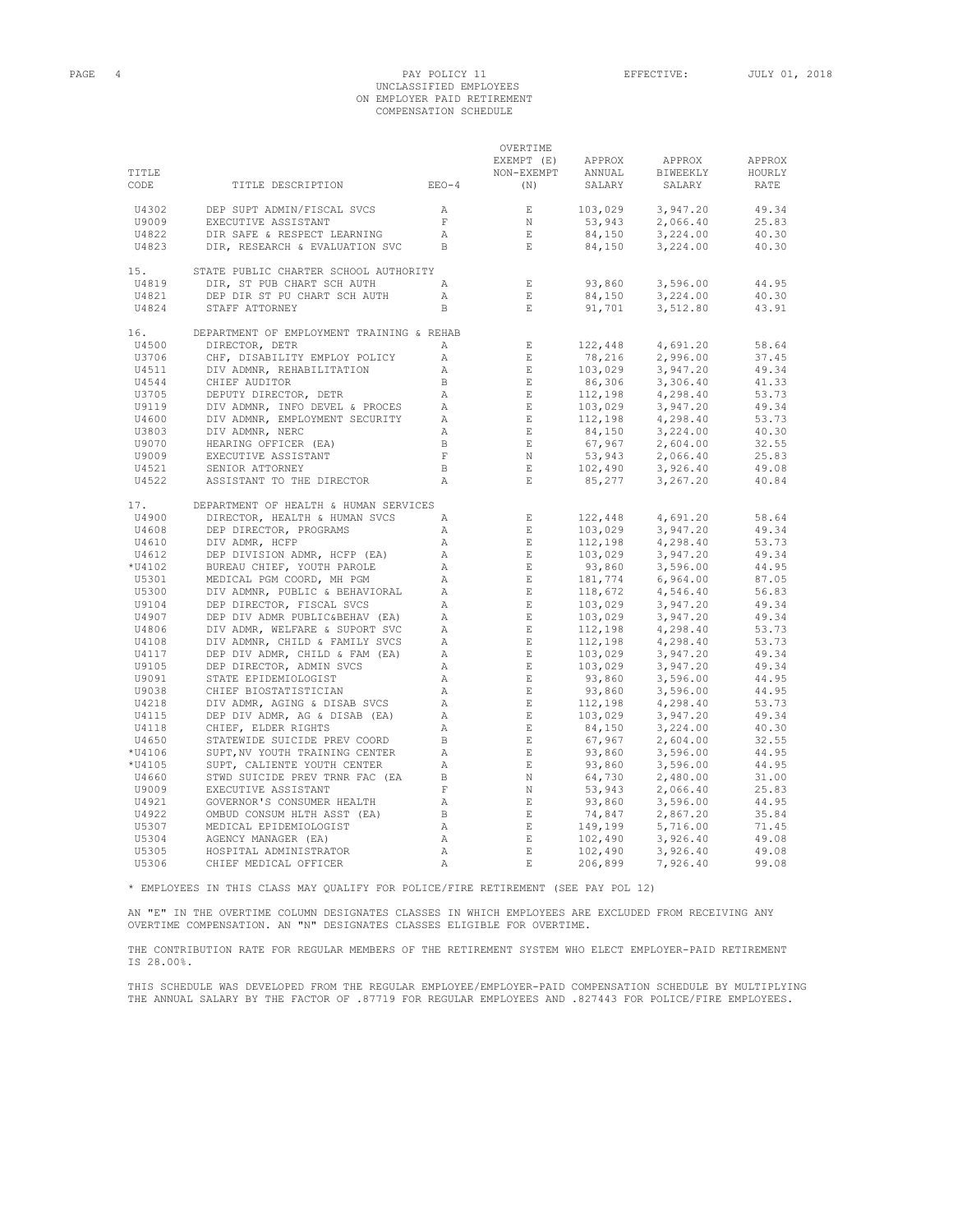# PAGE 4 PAY POLICY 11 EFFECTIVE: JULY 01, 2018 UNCLASSIFIED EMPLOYEES ON EMPLOYER PAID RETIREMENT COMPENSATION SCHEDULE

|               |                                           |                 | OVERTIME<br>EXEMPT (E)      | APPROX                                                    | APPROX             | APPROX         |
|---------------|-------------------------------------------|-----------------|-----------------------------|-----------------------------------------------------------|--------------------|----------------|
| TITLE<br>CODE | TITLE DESCRIPTION                         | $EEO-4$         | NON-EXEMPT<br>(N)           | ANNUAL<br>SALARY                                          | BIWEEKLY<br>SALARY | HOURLY<br>RATE |
| U4302         | DEP SUPT ADMIN/FISCAL SVCS                | A               | $\,$ E                      | $\begin{array}{c} 103,029 \\ \rightarrow 943 \end{array}$ | 3,947.20           | 49.34          |
| U9009         | EXECUTIVE ASSISTANT                       | F               | N                           |                                                           | 2,066.40           | 25.83          |
| U4822         | DIR SAFE & RESPECT LEARNING               | $\mathbb{A}$    | $\,$ E                      | 84,150                                                    | 3,224.00           | 40.30          |
| U4823         | DIR, RESEARCH & EVALUATION SVC            | <sub>B</sub>    | E                           | 84,150                                                    | 3,224.00           | 40.30          |
| 15.           | STATE PUBLIC CHARTER SCHOOL AUTHORITY     |                 |                             |                                                           |                    |                |
| U4819         | DIR, ST PUB CHART SCH AUTH                | $\overline{A}$  | $\mathbf{E}$                | 93,860                                                    | 3,596.00           | 44.95          |
| U4821         | DEP DIR ST PU CHART SCH AUTH              | $\mathbb{A}$    | $\mathbf{E}$                | 84,150                                                    | 3,224.00           | 40.30          |
| U4824         | STAFF ATTORNEY                            | $\mathbb B$     | $\mathbf E$                 | 91,701                                                    | 3,512.80           | 43.91          |
| 16.           | DEPARTMENT OF EMPLOYMENT TRAINING & REHAB |                 |                             |                                                           |                    |                |
| U4500         | DIRECTOR, DETR                            | $\mathbb{A}$    | E                           | 122,448                                                   | 4,691.20           | 58.64          |
| U3706         | CHF, DISABILITY EMPLOY POLICY             | $\mathbb{A}$    | $\mathop{}\!\textnormal{E}$ | 78,216                                                    | 2,996.00           | 37.45          |
| U4511         | DIV ADMNR, REHABILITATION                 | Α               | $\mathbf E$                 | 103,029                                                   | 3,947.20           | 49.34          |
| U4544         | CHIEF AUDITOR                             | $\, {\bf B} \,$ | E                           | 86,306                                                    | 3,306.40           | 41.33          |
| U3705         | DEPUTY DIRECTOR, DETR                     | Α               | E                           | об, 306<br>112,198                                        | 4,298.40           | 53.73          |
| U9119         | DIV ADMNR, INFO DEVEL & PROCES            | $\mathbb{A}$    | E                           | 103,029                                                   | 3,947.20           | 49.34          |
| U4600         | DIV ADMNR, EMPLOYMENT SECURITY            | $\mathbb{A}$    | $\,$ E $\,$                 | 112,198                                                   | 4,298.40           | 53.73          |
| U3803         | DIV ADMNR, NERC                           | $\mathbb{A}$    | E                           | $84,150$<br>67,967<br>53,943<br>102.490                   | 3,224.00           | 40.30          |
| U9070         | HEARING OFFICER (EA)                      | $\,$ B          | $\,$ E $\,$                 |                                                           | 2,604.00           | 32.55          |
| U9009         | EXECUTIVE ASSISTANT                       | $\mathbf F$     | $_{\rm N}$                  |                                                           | 2,066.40           | 25.83          |
| U4521         | SENIOR ATTORNEY                           | $\mathbb B$     | $\mathbf{E}$                | 102,490                                                   | 3,926.40           | 49.08          |
| U4522         | ASSISTANT TO THE DIRECTOR                 | $\mathbb{A}$    | $\mathbf E$                 | 85,277                                                    | 3,267.20           | 40.84          |
| 17.           | DEPARTMENT OF HEALTH & HUMAN SERVICES     |                 |                             |                                                           |                    |                |
| U4900         | DIRECTOR, HEALTH & HUMAN SVCS             | А               | $\mathbf{E}$                | 122,448                                                   | 4,691.20           | 58.64          |
| U4608         | DEP DIRECTOR, PROGRAMS                    | $\mathbb{A}$    | $\mathop{}\mathbb{E}$       | 103,029                                                   | 3,947.20           | 49.34          |
| U4610         | DIV ADMR, HCFP                            | Α               | E                           | 112, 198                                                  | 4,298.40           | 53.73          |
| U4612         | DEP DIVISION ADMR, HCFP (EA)              | Α               | $\mathbf E$                 | 103,029                                                   | 3,947.20           | 49.34          |
| *U4102        | BUREAU CHIEF, YOUTH PAROLE                | Α               | E                           |                                                           | 3,596.00           | 44.95          |
| U5301         | MEDICAL PGM COORD, MH PGM                 | $\mathbb{A}$    | $\,$ E $\,$                 | 93,860<br>181,774                                         | 6,964.00           | 87.05          |
| U5300         | DIV ADMNR, PUBLIC & BEHAVIORAL            | $\mathbb{A}$    | $\,$ E                      | $\frac{101}{118}$ , 672                                   | 4,546.40           | 56.83          |
| U9104         | DEP DIRECTOR, FISCAL SVCS                 | $\mathbb{A}$    | E                           | 103,029                                                   | 3,947.20           | 49.34          |
| U4907         | DEP DIV ADMR PUBLIC&BEHAV (EA)            | $\mathbb{A}$    | $\mathbf E$                 | 103,029<br>112,198<br>112,198                             | 3,947.20           | 49.34          |
| U4806         | DIV ADMR, WELFARE & SUPORT SVC            | $\mathbb{A}$    | $\mathbf{E}$                |                                                           | 4,298.40           | 53.73          |
| U4108         | DIV ADMNR, CHILD & FAMILY SVCS            | $\mathbb{A}$    | $\mathbf{E}$                |                                                           | 4,298.40           | 53.73          |
| U4117         | DEP DIV ADMR, CHILD & FAM (EA)            | Α               | $-$ E $\,$                  | 103,029                                                   | 3,947.20           | 49.34          |
| U9105         | DEP DIRECTOR, ADMIN SVCS                  | Α               | $\,$ E                      | 103,029<br>93,860<br>93,860                               | 3,947.20           | 49.34          |
| U9091         | STATE EPIDEMIOLOGIST                      | $\mathbb{A}$    | E                           |                                                           | 3,596.00           | 44.95          |
| U9038         | CHIEF BIOSTATISTICIAN                     | $\mathbb{A}$    | $\,$ E                      |                                                           | 3,596.00           | 44.95          |
| U4218         | DIV ADMR, AGING & DISAB SVCS              | Α               | $\_$ E                      |                                                           | 4,298.40           | 53.73          |
| U4115         | DEP DIV ADMR, AG & DISAB (EA)             | Α               | $\,$ E                      | 112,198<br>103,029                                        | 3,947.20           | 49.34          |
| U4118         | CHIEF, ELDER RIGHTS                       | Α               | E                           | 84,150                                                    | 3,224.00           | 40.30          |
| U4650         | STATEWIDE SUICIDE PREV COORD              | $\, {\bf B}$    | $\mathbf{E}$                | 67,967                                                    | 2,604.00           | 32.55          |
| $*$ U4106     | SUPT, NV YOUTH TRAINING CENTER            | Α               | $\mathbf{E}$                | 93,860                                                    | 3,596.00           | 44.95          |
| *U4105        | SUPT, CALIENTE YOUTH CENTER               | $\mathbb{A}$    | $\,$ E                      | 93,860                                                    | 3,596.00           | 44.95          |
| U4660         | STWD SUICIDE PREV TRNR FAC (EA            | $\,$ B          | N                           | 64,730                                                    | 2,480.00           | 31.00          |
| U9009         | EXECUTIVE ASSISTANT                       | $\mathbf F$     | N                           | 53,943                                                    | 2,066.40           | 25.83          |
| U4921         | GOVERNOR'S CONSUMER HEALTH                | $\mathbb{A}$    | $\mathbf E$                 |                                                           | 3,596.00           | 44.95          |
| U4922         | OMBUD CONSUM HLTH ASST (EA)               | $\, {\bf B}$    | $\mathbf{E}$                | 93,860<br>74,847                                          | 2,867.20           | 35.84          |
| U5307         | MEDICAL EPIDEMIOLOGIST                    | Α               | $\mathbf{E}$                | 149,199                                                   | 5,716.00           | 71.45          |
|               |                                           |                 |                             |                                                           |                    |                |
| U5304         | AGENCY MANAGER (EA)                       | Α               | $\mathbf{E}$                | 102,490                                                   | 3,926.40           | 49.08          |
| U5305         | HOSPITAL ADMINISTRATOR                    | $\mathbb{A}$    | $E_{\rm c}$                 | 102,490                                                   | 3,926.40           | 49.08          |
| U5306         | CHIEF MEDICAL OFFICER                     | $\mathbb{A}$    | $\mathbf{F}_i$              | 206,899                                                   | 7,926.40           | 99.08          |

\* EMPLOYEES IN THIS CLASS MAY QUALIFY FOR POLICE/FIRE RETIREMENT (SEE PAY POL 12)

AN "E" IN THE OVERTIME COLUMN DESIGNATES CLASSES IN WHICH EMPLOYEES ARE EXCLUDED FROM RECEIVING ANY OVERTIME COMPENSATION. AN "N" DESIGNATES CLASSES ELIGIBLE FOR OVERTIME.

THE CONTRIBUTION RATE FOR REGULAR MEMBERS OF THE RETIREMENT SYSTEM WHO ELECT EMPLOYER-PAID RETIREMENT IS 28.00%.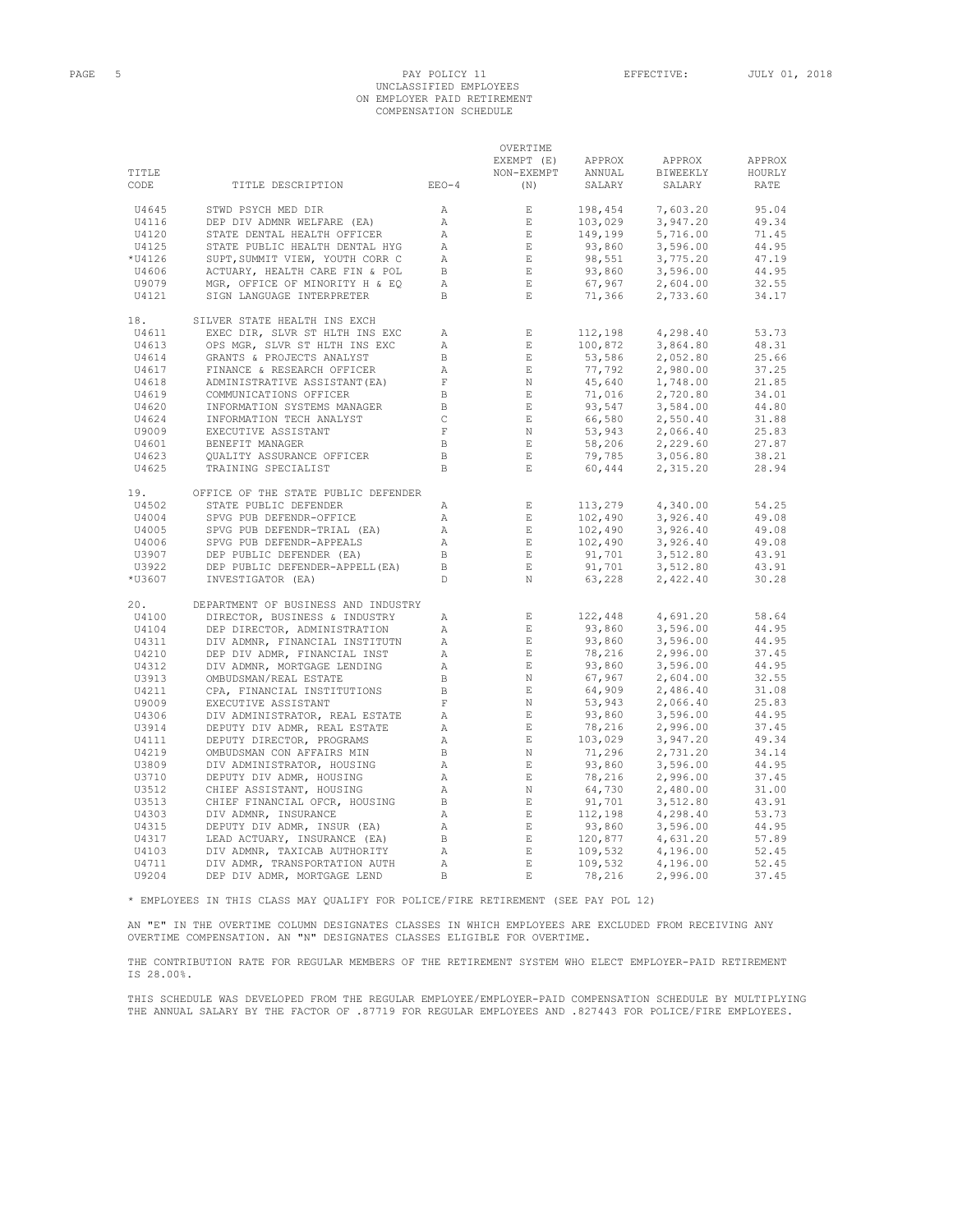#### PAGE 5 PAY POLICY 11 EFFECTIVE: JULY 01, 2018 UNCLASSIFIED EMPLOYEES ON EMPLOYER PAID RETIREMENT COMPENSATION SCHEDULE

|        |                                                                    |                                                 | OVERTIME                                                                                |                                                                                                                                              |                                                                                                                                                                                                                                                                                       |        |
|--------|--------------------------------------------------------------------|-------------------------------------------------|-----------------------------------------------------------------------------------------|----------------------------------------------------------------------------------------------------------------------------------------------|---------------------------------------------------------------------------------------------------------------------------------------------------------------------------------------------------------------------------------------------------------------------------------------|--------|
|        |                                                                    |                                                 | EXEMPT (E)                                                                              | APPROX                                                                                                                                       | APPROX                                                                                                                                                                                                                                                                                | APPROX |
| TITLE  |                                                                    |                                                 | NON-EXEMPT                                                                              | ANNUAL                                                                                                                                       | BIWEEKLY                                                                                                                                                                                                                                                                              | HOURLY |
| CODE   | $EEO-4$<br>TITLE DESCRIPTION                                       |                                                 | (N)                                                                                     | SALARY                                                                                                                                       | SALARY                                                                                                                                                                                                                                                                                | RATE   |
|        |                                                                    |                                                 |                                                                                         |                                                                                                                                              |                                                                                                                                                                                                                                                                                       |        |
| U4645  | STWD PSYCH MED DIR                                                 | A                                               | E                                                                                       |                                                                                                                                              | 7,603.20                                                                                                                                                                                                                                                                              | 95.04  |
| U4116  | DEP DIV ADMNR WELFARE (EA)                                         | A                                               |                                                                                         |                                                                                                                                              | 3,947.20                                                                                                                                                                                                                                                                              | 49.34  |
|        |                                                                    | $\overrightarrow{A}$                            | $\begin{array}{c}\n1 & \text{in } \mathbb{R} \\ 1 & \text{in } \mathbb{R}\n\end{array}$ |                                                                                                                                              |                                                                                                                                                                                                                                                                                       |        |
| U4120  | STATE DENTAL HEALTH OFFICER                                        |                                                 |                                                                                         |                                                                                                                                              | 5,716.00                                                                                                                                                                                                                                                                              | 71.45  |
| U4125  | STATE PUBLIC HEALTH DENTAL HYG                                     |                                                 |                                                                                         |                                                                                                                                              | 3,596.00                                                                                                                                                                                                                                                                              | 44.95  |
| *U4126 | SUPT, SUMMIT VIEW, YOUTH CORR C                                    | A                                               | $\begin{array}{c}\n\mathbf{E} \\ \mathbf{E} \\ \mathbf{E}\n\end{array}$                 |                                                                                                                                              | 3,775.20                                                                                                                                                                                                                                                                              | 47.19  |
| U4606  | ACTUARY, HEALTH CARE FIN & POL                                     |                                                 |                                                                                         |                                                                                                                                              | 3,596.00                                                                                                                                                                                                                                                                              | 44.95  |
| U9079  | MGR, OFFICE OF MINORITY H & EQ                                     | $\frac{B}{A}$                                   | $E$ and $E$                                                                             |                                                                                                                                              | 2,604.00                                                                                                                                                                                                                                                                              | 32.55  |
| U4121  | SIGN LANGUAGE INTERPRETER                                          | B                                               | $\overline{E}$ and $\overline{E}$                                                       | $\begin{array}{l} 198,454\\ 103,029\\ 149,199\\ 93,860\\ 98,551\\ 93,860\\ 67,967\\ 71,366 \end{array}$                                      | 2,733.60                                                                                                                                                                                                                                                                              | 34.17  |
| 18.    | SILVER STATE HEALTH INS EXCH                                       |                                                 |                                                                                         |                                                                                                                                              | $\begin{array}{cccc} \text{112,198} & \text{4,298.40} \\ 100,872 & 3,864.80 \\ 53,586 & 2,052.80 \\ 77,792 & 2,980.00 \\ 45,640 & 1,748.00 \\ 93,547 & 3,584.00 \\ 66,580 & 2,550.40 \\ 53,943 & 2,066.40 \\ 58,206 & 2,229.60 \\ 79,785 & 3,056.80 \\ 60,444 & 2,315.20 \end{array}$ |        |
| U4611  | EXEC DIR, SLVR ST HLTH INS EXC                                     | A                                               |                                                                                         |                                                                                                                                              |                                                                                                                                                                                                                                                                                       | 53.73  |
| U4613  | OPS MGR, SLVR ST HLTH INS EXC                                      | A                                               | $\frac{E}{E}$                                                                           |                                                                                                                                              |                                                                                                                                                                                                                                                                                       | 48.31  |
| U4614  | GRANTS & PROJECTS ANALYST                                          | $\mathbb B$                                     | E<br>E<br>E<br>F<br>F<br>F                                                              |                                                                                                                                              |                                                                                                                                                                                                                                                                                       | 25.66  |
|        |                                                                    | $\frac{\sum_{i=1}^{n} x_i}{\sum_{i=1}^{n} x_i}$ |                                                                                         |                                                                                                                                              |                                                                                                                                                                                                                                                                                       | 37.25  |
| U4617  | FINANCE & RESEARCH OFFICER                                         |                                                 |                                                                                         |                                                                                                                                              |                                                                                                                                                                                                                                                                                       |        |
| U4618  | ADMINISTRATIVE ASSISTANT(EA)<br>COMMUNICATIONS OFFICER             |                                                 |                                                                                         |                                                                                                                                              |                                                                                                                                                                                                                                                                                       | 21.85  |
| U4619  |                                                                    | $\overline{B}$                                  |                                                                                         |                                                                                                                                              |                                                                                                                                                                                                                                                                                       | 34.01  |
| U4620  | INFORMATION SYSTEMS MANAGER                                        | $\overline{B}$                                  | E                                                                                       |                                                                                                                                              |                                                                                                                                                                                                                                                                                       | 44.80  |
| U4624  | INFORMATION TECH ANALYST                                           | $\qquad \qquad \mathbb{C}$                      | E                                                                                       |                                                                                                                                              |                                                                                                                                                                                                                                                                                       | 31.88  |
| U9009  | EXECUTIVE ASSISTANT                                                | $ \rm F$                                        | N                                                                                       |                                                                                                                                              |                                                                                                                                                                                                                                                                                       | 25.83  |
| U4601  | BENEFIT MANAGER                                                    | $\mathbb B$                                     | E                                                                                       |                                                                                                                                              |                                                                                                                                                                                                                                                                                       | 27.87  |
| U4623  | QUALITY ASSURANCE OFFICER                                          | $\mathbb B$                                     | E                                                                                       |                                                                                                                                              |                                                                                                                                                                                                                                                                                       | 38.21  |
| U4625  | TRAINING SPECIALIST                                                | $\mathbb B$                                     | E                                                                                       |                                                                                                                                              |                                                                                                                                                                                                                                                                                       | 28.94  |
|        |                                                                    |                                                 |                                                                                         |                                                                                                                                              |                                                                                                                                                                                                                                                                                       |        |
| 19.    | OFFICE OF THE STATE PUBLIC DEFENDER                                |                                                 |                                                                                         |                                                                                                                                              |                                                                                                                                                                                                                                                                                       |        |
| U4502  | STATE PUBLIC DEFENDER                                              | A                                               |                                                                                         |                                                                                                                                              |                                                                                                                                                                                                                                                                                       | 54.25  |
| U4004  | SPVG PUB DEFENDR-OFFICE                                            |                                                 | $\begin{array}{c} \mathbf{E}\\ \mathbf{E}\\ \mathbf{E}\\ \mathbf{E}\\ \end{array}$      |                                                                                                                                              |                                                                                                                                                                                                                                                                                       | 49.08  |
| U4005  | SPVG PUB DEFENDR-TRIAL (EA)                                        | $\begin{bmatrix} A \\ A \end{bmatrix}$          |                                                                                         |                                                                                                                                              |                                                                                                                                                                                                                                                                                       | 49.08  |
| U4006  | SPVG PUB DEFENDR-APPEALS                                           |                                                 |                                                                                         |                                                                                                                                              |                                                                                                                                                                                                                                                                                       | 49.08  |
| U3907  | DEP PUBLIC DEFENDER (EA)                                           | $\overline{B}$                                  |                                                                                         |                                                                                                                                              |                                                                                                                                                                                                                                                                                       | 43.91  |
| U3922  | DEP PUBLIC DEFENDER-APPELL (EA)                                    | $\mathbb B$                                     | $$\mathbf{E}$$ $$\mathbf{E}$$                                                           |                                                                                                                                              |                                                                                                                                                                                                                                                                                       | 43.91  |
| *U3607 | INVESTIGATOR (EA)                                                  | $\mathbb D$                                     | N                                                                                       |                                                                                                                                              | $\begin{array}{cccc} 113, 279 & & 4, 340.00 \\ 102, 490 & & 3, 926.40 \\ 102, 490 & & 3, 926.40 \\ 102, 490 & & 3, 926.40 \\ 91, 701 & & 3, 512.80 \\ 91, 701 & & 3, 512.80 \\ 63, 228 & & 2, 422.40 \end{array}$                                                                     | 30.28  |
|        |                                                                    |                                                 |                                                                                         |                                                                                                                                              |                                                                                                                                                                                                                                                                                       |        |
| 20.    | DEPARTMENT OF BUSINESS AND INDUSTRY                                |                                                 |                                                                                         |                                                                                                                                              |                                                                                                                                                                                                                                                                                       |        |
| U4100  | DIRECTOR, BUSINESS & INDUSTRY                                      | $\mathbb{A}$                                    |                                                                                         | 122,448                                                                                                                                      | 4,691.20                                                                                                                                                                                                                                                                              | 58.64  |
| U4104  | DEP DIRECTOR, ADMINISTRATION                                       | А                                               | $\begin{array}{c}\n\mathbf{E} \\ \mathbf{E} \\ \mathbf{E}\n\end{array}$                 | $122, 448$<br>$93, 860$<br>$78, 216$<br>$93, 860$<br>$78, 216$<br>$67, 909$<br>$53, 943$<br>$93, 860$<br>$78, 216$<br>$78, 216$<br>$71, 296$ | 3,596.00                                                                                                                                                                                                                                                                              | 44.95  |
| U4311  | DIV ADMNR, FINANCIAL INSTITUTN                                     | $\mathbb A$                                     |                                                                                         |                                                                                                                                              | 3,596.00                                                                                                                                                                                                                                                                              | 44.95  |
| U4210  | DEP DIV ADMR, FINANCIAL INST                                       | A                                               | .<br>המשל                                                                               |                                                                                                                                              | 2,996.00                                                                                                                                                                                                                                                                              | 37.45  |
| U4312  | DIV ADMNR, MORTGAGE LENDING                                        | A                                               |                                                                                         |                                                                                                                                              | 3,596.00                                                                                                                                                                                                                                                                              | 44.95  |
| U3913  | UNI<br>OMBUDSMAN/REAL ESTATE<br>CPA, FINANCIAL INSTITUTIONS B<br>F |                                                 |                                                                                         |                                                                                                                                              | 2,604.00                                                                                                                                                                                                                                                                              | 32.55  |
| U4211  |                                                                    |                                                 |                                                                                         |                                                                                                                                              | 2,486.40                                                                                                                                                                                                                                                                              | 31.08  |
| U9009  |                                                                    |                                                 |                                                                                         |                                                                                                                                              | 2,066.40                                                                                                                                                                                                                                                                              | 25.83  |
|        |                                                                    |                                                 |                                                                                         |                                                                                                                                              |                                                                                                                                                                                                                                                                                       |        |
| U4306  |                                                                    |                                                 |                                                                                         |                                                                                                                                              | 3,596.00<br>2,996.00<br>3,947.20                                                                                                                                                                                                                                                      | 44.95  |
| U3914  |                                                                    |                                                 |                                                                                         |                                                                                                                                              |                                                                                                                                                                                                                                                                                       | 37.45  |
| U4111  | DEPUTY DIRECTOR, PROGRAMS                                          | A                                               |                                                                                         |                                                                                                                                              |                                                                                                                                                                                                                                                                                       | 49.34  |
| U4219  | OMBUDSMAN CON AFFAIRS MIN                                          | $\mathbb B$                                     |                                                                                         |                                                                                                                                              |                                                                                                                                                                                                                                                                                       | 34.14  |
| U3809  | DIV ADMINISTRATOR, HOUSING                                         | A                                               |                                                                                         |                                                                                                                                              |                                                                                                                                                                                                                                                                                       | 44.95  |
| U3710  | DEPUTY DIV ADMR, HOUSING                                           | A                                               |                                                                                         |                                                                                                                                              |                                                                                                                                                                                                                                                                                       | 37.45  |
| U3512  | CHIEF ASSISTANT, HOUSING                                           | A                                               |                                                                                         |                                                                                                                                              |                                                                                                                                                                                                                                                                                       | 31.00  |
| U3513  | CHIEF FINANCIAL OFCR, HOUSING                                      | $\mathbb B$                                     |                                                                                         |                                                                                                                                              |                                                                                                                                                                                                                                                                                       | 43.91  |
| U4303  | DIV ADMNR, INSURANCE                                               | $\mathbb{A}$                                    |                                                                                         |                                                                                                                                              |                                                                                                                                                                                                                                                                                       | 53.73  |
|        |                                                                    |                                                 |                                                                                         |                                                                                                                                              |                                                                                                                                                                                                                                                                                       |        |
| U4315  | DEPUTY DIV ADMR, INSUR (EA)                                        | A                                               |                                                                                         |                                                                                                                                              |                                                                                                                                                                                                                                                                                       | 44.95  |
| U4317  | LEAD ACTUARY, INSURANCE (EA)                                       | $\mathbb B$                                     | 1<br>H E E E E E E E E E E                                                              |                                                                                                                                              | 103, 029<br>3, 947.20<br>3, 860<br>3, 596.00<br>78, 216<br>2, 996.00<br>64, 730<br>2, 480.00<br>91, 701<br>3, 512.80<br>93, 860<br>3, 996.00<br>120, 877<br>4, 631.20<br>19, 532<br>4, 196.00<br>19, 532<br>4, 196.00<br>19, 532<br>4, 196.00<br>19, 532<br>4, 196.00<br>1            | 57.89  |
| U4103  | DIV ADMNR, TAXICAB AUTHORITY                                       | $\mathbb{A}$                                    | $\mathbf{E}^{(n)}$                                                                      |                                                                                                                                              |                                                                                                                                                                                                                                                                                       | 52.45  |
| U4711  | DIV ADMR, TRANSPORTATION AUTH                                      | Α                                               | $\mathop{}\mathopen{} E$                                                                |                                                                                                                                              |                                                                                                                                                                                                                                                                                       | 52.45  |
| U9204  | DEP DIV ADMR, MORTGAGE LEND                                        | $\mathbb B$                                     | E                                                                                       | 78,216                                                                                                                                       | 2,996.00                                                                                                                                                                                                                                                                              | 37.45  |

\* EMPLOYEES IN THIS CLASS MAY QUALIFY FOR POLICE/FIRE RETIREMENT (SEE PAY POL 12)

AN "E" IN THE OVERTIME COLUMN DESIGNATES CLASSES IN WHICH EMPLOYEES ARE EXCLUDED FROM RECEIVING ANY<br>OVERTIME COMPENSATION. AN "N" DESIGNATES CLASSES ELIGIBLE FOR OVERTIME.

THE CONTRIBUTION RATE FOR REGULAR MEMBERS OF THE RETIREMENT SYSTEM WHO ELECT EMPLOYER-PAID RETIREMENT IS 28.00%.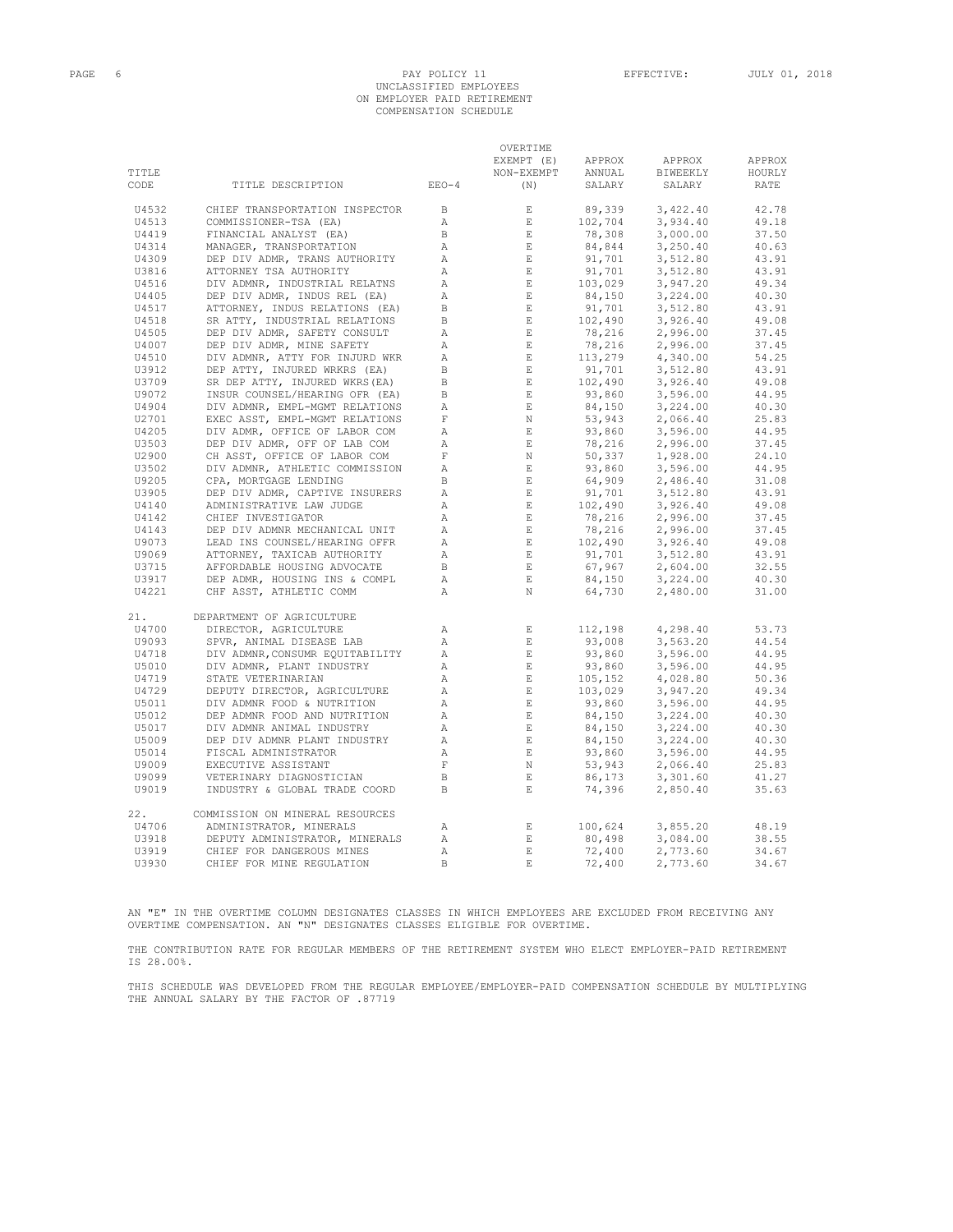## PAGE 6 PAY POLICY 11 EFFECTIVE: JULY 01, 2018 UNCLASSIFIED EMPLOYEES ON EMPLOYER PAID RETIREMENT COMPENSATION SCHEDULE

|       |                                 |                 | OVERTIME                 |                                                                                                                                                            |          |        |
|-------|---------------------------------|-----------------|--------------------------|------------------------------------------------------------------------------------------------------------------------------------------------------------|----------|--------|
|       |                                 |                 | EXEMPT (E)               | APPROX                                                                                                                                                     | APPROX   | APPROX |
| TITLE |                                 |                 | NON-EXEMPT               | ANNUAL                                                                                                                                                     | BIWEEKLY | HOURLY |
| CODE  | TITLE DESCRIPTION               | $EEO-4$         | (N)                      | SALARY                                                                                                                                                     | SALARY   | RATE   |
|       |                                 |                 |                          |                                                                                                                                                            |          |        |
| U4532 | CHIEF TRANSPORTATION INSPECTOR  | B               | E                        | 89,339                                                                                                                                                     | 3,422.40 | 42.78  |
| U4513 | COMMISSIONER-TSA (EA)           | $\mathbb{A}$    | $\mathbf{E}$             | 102,704                                                                                                                                                    | 3,934.40 | 49.18  |
| U4419 | FINANCIAL ANALYST (EA)          | $\, {\bf B} \,$ | $\quad$ E                | 78,308<br>84,844                                                                                                                                           | 3,000.00 | 37.50  |
| U4314 | MANAGER, TRANSPORTATION         | Α               | $\mathbf{E}$             |                                                                                                                                                            | 3,250.40 | 40.63  |
| U4309 | DEP DIV ADMR, TRANS AUTHORITY   | $\mathbb{A}$    | E                        | 91,701                                                                                                                                                     | 3,512.80 | 43.91  |
| U3816 | ATTORNEY TSA AUTHORITY          | Α               | E                        |                                                                                                                                                            | 3,512.80 | 43.91  |
| U4516 | DIV ADMNR, INDUSTRIAL RELATNS   | Α               | $\quad$ E                | $91,701$<br>$91,701$<br>$103,029$<br>$84,150$                                                                                                              | 3,947.20 | 49.34  |
| U4405 | DEP DIV ADMR, INDUS REL (EA)    | Α               | $\,$ E                   |                                                                                                                                                            | 3,224.00 | 40.30  |
| U4517 | ATTORNEY, INDUS RELATIONS (EA)  | $\mathbf{B}$    |                          |                                                                                                                                                            |          | 43.91  |
|       |                                 |                 | $$\mathbf{E}$$ E         |                                                                                                                                                            | 3,512.80 |        |
| U4518 | SR ATTY, INDUSTRIAL RELATIONS   | $\mathbf{B}$    |                          | $91,701$<br>$102,490$<br>$78,216$                                                                                                                          | 3,926.40 | 49.08  |
| U4505 | DEP DIV ADMR, SAFETY CONSULT    | $\mathbb{A}$    | E                        |                                                                                                                                                            | 2,996.00 | 37.45  |
| U4007 | DEP DIV ADMR, MINE SAFETY       | Α               | $$\mathbbm E$$ E         |                                                                                                                                                            | 2,996.00 | 37.45  |
| U4510 | DIV ADMNR, ATTY FOR INJURD WKR  | Α               |                          | $78,216$ $113,279$ $91,701$ $102,490$ $103$                                                                                                                | 4,340.00 | 54.25  |
| U3912 | DEP ATTY, INJURED WRKRS (EA)    | $\, {\bf B}$    | E                        |                                                                                                                                                            | 3,512.80 | 43.91  |
| U3709 | SR DEP ATTY, INJURED WKRS (EA)  | B.              | $\hfill$ E               |                                                                                                                                                            | 3,926.40 | 49.08  |
| U9072 | INSUR COUNSEL/HEARING OFR (EA)  | B               | E                        |                                                                                                                                                            | 3,596.00 | 44.95  |
| U4904 | DIV ADMNR, EMPL-MGMT RELATIONS  | Α               | $\mathbb E$              |                                                                                                                                                            | 3,224.00 | 40.30  |
| U2701 | EXEC ASST, EMPL-MGMT RELATIONS  | $\mathbf F$     | $\,$ N                   |                                                                                                                                                            | 2,066.40 | 25.83  |
| U4205 | DIV ADMR, OFFICE OF LABOR COM   | Α               | $\_$ $\,$ E              |                                                                                                                                                            | 3,596.00 | 44.95  |
| U3503 | DEP DIV ADMR, OFF OF LAB COM    | Α               | $\mathbb E$              |                                                                                                                                                            | 2,996.00 | 37.45  |
| U2900 | CH ASST, OFFICE OF LABOR COM    | $\mathbf F$     | N                        |                                                                                                                                                            | 1,928.00 | 24.10  |
| U3502 | DIV ADMNR, ATHLETIC COMMISSION  | $\mathbb{A}$    | $\,$ E                   | $102, 490$<br>$93, 860$<br>$84, 150$<br>$53, 943$<br>$93, 860$<br>$78, 216$<br>$79, 337$<br>$93, 860$<br>$64, 909$<br>$91, 701$<br>$102, 490$<br>$78, 216$ | 3,596.00 | 44.95  |
| U9205 | CPA, MORTGAGE LENDING           | B               | E                        |                                                                                                                                                            | 2,486.40 | 31.08  |
| U3905 | DEP DIV ADMR, CAPTIVE INSURERS  | Α               | $\mathop{}\mathopen{} E$ |                                                                                                                                                            |          | 43.91  |
|       |                                 |                 |                          |                                                                                                                                                            | 3,512.80 |        |
| U4140 | ADMINISTRATIVE LAW JUDGE        | Α               | E                        |                                                                                                                                                            | 3,926.40 | 49.08  |
| U4142 | CHIEF INVESTIGATOR              | $\mathbb{A}$    | E                        |                                                                                                                                                            | 2,996.00 | 37.45  |
| U4143 | DEP DIV ADMNR MECHANICAL UNIT   | Α               | E                        | $78,216$<br>$102,490$<br>$91,701$<br>$67,967$<br>$84,150$                                                                                                  | 2,996.00 | 37.45  |
| U9073 | LEAD INS COUNSEL/HEARING OFFR   | Α               | E                        |                                                                                                                                                            | 3,926.40 | 49.08  |
| U9069 | ATTORNEY, TAXICAB AUTHORITY     | Α               | $\mathbb E$              |                                                                                                                                                            | 3,512.80 | 43.91  |
| U3715 | AFFORDABLE HOUSING ADVOCATE     | $\, {\bf B}$    | $\mathbb E$ .            |                                                                                                                                                            | 2,604.00 | 32.55  |
| U3917 | DEP ADMR, HOUSING INS & COMPL   | Α               | $\mathbf{E}$             |                                                                                                                                                            | 3,224.00 | 40.30  |
| U4221 | CHF ASST, ATHLETIC COMM         | $\mathbb{A}$    | N                        | 64,730                                                                                                                                                     | 2,480.00 | 31.00  |
| 21.   | DEPARTMENT OF AGRICULTURE       |                 |                          |                                                                                                                                                            |          |        |
| U4700 | DIRECTOR, AGRICULTURE           | Α               | $\mathbf E$              | 112,198                                                                                                                                                    | 4,298.40 | 53.73  |
| U9093 | SPVR, ANIMAL DISEASE LAB        | $\mathbb{A}$    | $\mathbf E$              | 93,008                                                                                                                                                     | 3,563.20 | 44.54  |
| U4718 | DIV ADMNR, CONSUMR EQUITABILITY | $\mathbb{A}$    | E                        | 93,860                                                                                                                                                     | 3,596.00 | 44.95  |
| U5010 | DIV ADMNR, PLANT INDUSTRY       | Α               | E                        |                                                                                                                                                            | 3,596.00 | 44.95  |
| U4719 | STATE VETERINARIAN              | Α               | $\mathbf E$              | $93,860$<br>$105,152$<br>$103,029$<br>$93,860$                                                                                                             | 4,028.80 | 50.36  |
| U4729 | DEPUTY DIRECTOR, AGRICULTURE    | Α               | E                        |                                                                                                                                                            |          | 49.34  |
|       |                                 |                 |                          |                                                                                                                                                            | 3,947.20 |        |
| U5011 | DIV ADMNR FOOD & NUTRITION      | Α               | $\quad$ E                |                                                                                                                                                            | 3,596.00 | 44.95  |
| U5012 | DEP ADMNR FOOD AND NUTRITION    | $\mathbb{A}$    | E                        | 84,150<br>84,150                                                                                                                                           | 3,224.00 | 40.30  |
| U5017 | DIV ADMNR ANIMAL INDUSTRY       | Α               | $\,$ E                   |                                                                                                                                                            | 3,224.00 | 40.30  |
| U5009 | DEP DIV ADMNR PLANT INDUSTRY    | $\mathbb{A}$    | $\,$ E                   | 84,150                                                                                                                                                     | 3,224.00 | 40.30  |
| U5014 | FISCAL ADMINISTRATOR            | Α               | $\mathbf E$              |                                                                                                                                                            | 3,596.00 | 44.95  |
| U9009 | EXECUTIVE ASSISTANT             | $\mathbf F$     | $\,$ N                   |                                                                                                                                                            | 2,066.40 | 25.83  |
| U9099 | VETERINARY DIAGNOSTICIAN        | $\, {\bf B}$    | $\mathbf{E}$             | 93,860<br>53,943<br>86,173                                                                                                                                 | 3,301.60 | 41.27  |
| U9019 | INDUSTRY & GLOBAL TRADE COORD   | B.              | $E_{\rm{L}}$             | 74,396                                                                                                                                                     | 2,850.40 | 35.63  |
| 22.   | COMMISSION ON MINERAL RESOURCES |                 |                          |                                                                                                                                                            |          |        |
| U4706 | ADMINISTRATOR, MINERALS         | Α               | $\mathop{}\mathopen{} E$ | 100,624                                                                                                                                                    | 3,855.20 | 48.19  |
| U3918 | DEPUTY ADMINISTRATOR, MINERALS  | Α               | $\mathbf{E}$             | 80,498                                                                                                                                                     | 3,084.00 | 38.55  |
| U3919 | CHIEF FOR DANGEROUS MINES       | $\mathbb{A}$    | $\mathbf E$              | 72,400                                                                                                                                                     | 2,773.60 | 34.67  |
| U3930 | CHIEF FOR MINE REGULATION       | $\,$ B          | $\mathbf E$              | 72,400                                                                                                                                                     | 2,773.60 | 34.67  |
|       |                                 |                 |                          |                                                                                                                                                            |          |        |

AN "E" IN THE OVERTIME COLUMN DESIGNATES CLASSES IN WHICH EMPLOYEES ARE EXCLUDED FROM RECEIVING ANY OVERTIME COMPENSATION. AN "N" DESIGNATES CLASSES ELIGIBLE FOR OVERTIME.

THE CONTRIBUTION RATE FOR REGULAR MEMBERS OF THE RETIREMENT SYSTEM WHO ELECT EMPLOYER-PAID RETIREMENT IS 28.00%.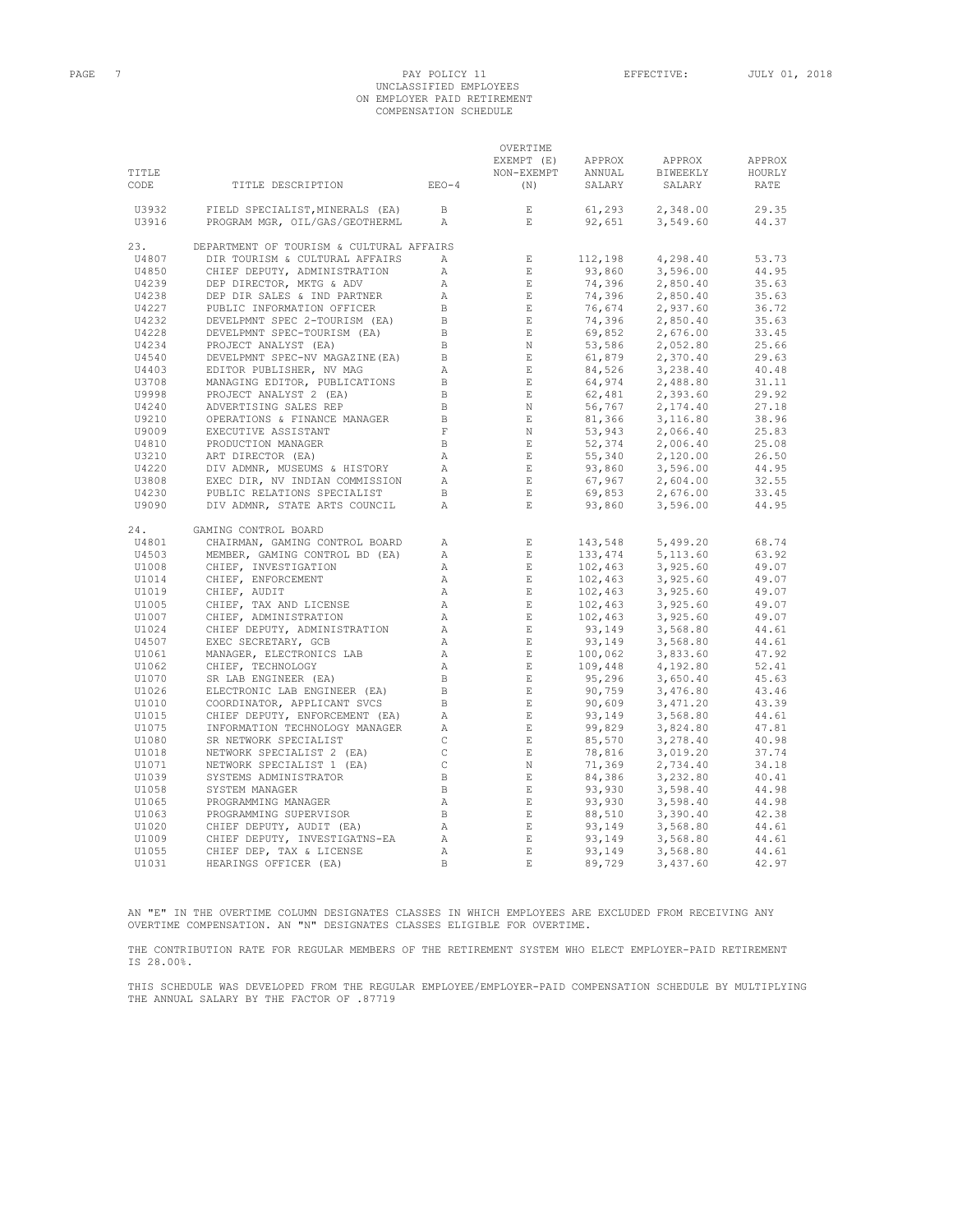# PAGE 7 PAGE 7 PAY POLICY 11 EFFECTIVE: JULY 01, 2018

# UNCLASSIFIED EMPLOYEES ON EMPLOYER PAID RETIREMENT COMPENSATION SCHEDULE

|                |                                                           |                              | OVERTIME                                                                                                                                                                                                                                                                                                                                                                                                      |                                                                                                                                                                                                                                                                                 |                      |                |
|----------------|-----------------------------------------------------------|------------------------------|---------------------------------------------------------------------------------------------------------------------------------------------------------------------------------------------------------------------------------------------------------------------------------------------------------------------------------------------------------------------------------------------------------------|---------------------------------------------------------------------------------------------------------------------------------------------------------------------------------------------------------------------------------------------------------------------------------|----------------------|----------------|
|                |                                                           |                              | EXEMPT (E)                                                                                                                                                                                                                                                                                                                                                                                                    | APPROX                                                                                                                                                                                                                                                                          | APPROX               | APPROX         |
| TITLE          |                                                           |                              | NON-EXEMPT                                                                                                                                                                                                                                                                                                                                                                                                    | ANNUAL                                                                                                                                                                                                                                                                          | BIWEEKLY             | HOURLY         |
| CODE           | TITLE DESCRIPTION                                         | $EEO-4$                      | (N)                                                                                                                                                                                                                                                                                                                                                                                                           | SALARY                                                                                                                                                                                                                                                                          | SALARY               | RATE           |
| U3932          | FIELD SPECIALIST, MINERALS (EA)                           | $\Box$                       | E                                                                                                                                                                                                                                                                                                                                                                                                             | 61, 293                                                                                                                                                                                                                                                                         | 2,348.00             | 29.35          |
| U3916          | PROGRAM MGR, OIL/GAS/GEOTHERML                            | $\mathbb{A}$                 | E                                                                                                                                                                                                                                                                                                                                                                                                             | 92,651                                                                                                                                                                                                                                                                          | 3,549.60             | 44.37          |
| 23.            | DEPARTMENT OF TOURISM & CULTURAL AFFAIRS                  |                              |                                                                                                                                                                                                                                                                                                                                                                                                               |                                                                                                                                                                                                                                                                                 |                      |                |
| U4807          | DIR TOURISM & CULTURAL AFFAIRS                            | $\mathbb{A}$                 | $\,$ E                                                                                                                                                                                                                                                                                                                                                                                                        | 112,198                                                                                                                                                                                                                                                                         | 4,298.40             | 53.73          |
| U4850          | CHIEF DEPUTY, ADMINISTRATION                              | Α                            | $\mathbb E$ .                                                                                                                                                                                                                                                                                                                                                                                                 | 93,860                                                                                                                                                                                                                                                                          | 3,596.00             | 44.95          |
| U4239          | DEP DIRECTOR, MKTG & ADV                                  | $\mathbb{A}$                 | $\quad$ E $\quad$                                                                                                                                                                                                                                                                                                                                                                                             | 74,396                                                                                                                                                                                                                                                                          | 2,850.40             | 35.63          |
| U4238          | DEP DIR SALES & IND PARTNER                               | $\mathbb{A}$                 | E                                                                                                                                                                                                                                                                                                                                                                                                             | 74,396                                                                                                                                                                                                                                                                          | 2,850.40             | 35.63          |
| U4227          | PUBLIC INFORMATION OFFICER                                | $\mathbf{B}$                 | $\mathbb E$                                                                                                                                                                                                                                                                                                                                                                                                   |                                                                                                                                                                                                                                                                                 | 2,937.60             | 36.72          |
| U4232          | DEVELPMNT SPEC 2-TOURISM (EA)                             | $\overline{B}$               | $\mathbb E$ .                                                                                                                                                                                                                                                                                                                                                                                                 |                                                                                                                                                                                                                                                                                 | 2,850.40             | 35.63          |
| U4228          | DEVELPMNT SPEC-TOURISM (EA)                               | $\,$ B                       | $\mathbf{E}$                                                                                                                                                                                                                                                                                                                                                                                                  |                                                                                                                                                                                                                                                                                 | 2,676.00             | 33.45          |
| U4234          | PROJECT ANALYST (EA)                                      | $\Box$                       | N                                                                                                                                                                                                                                                                                                                                                                                                             |                                                                                                                                                                                                                                                                                 | 2,052.80             | 25.66          |
| U4540          | DEVELPMNT SPEC-NV MAGAZINE (EA)                           | $\overline{B}$               | E                                                                                                                                                                                                                                                                                                                                                                                                             |                                                                                                                                                                                                                                                                                 | 2,370.40             | 29.63          |
| U4403          | EDITOR PUBLISHER, NV MAG                                  | $\overline{A}$               | $\quad$ E $\quad$                                                                                                                                                                                                                                                                                                                                                                                             |                                                                                                                                                                                                                                                                                 | 3,238.40             | 40.48          |
| U3708          | MANAGING EDITOR, PUBLICATIONS                             | $\mathbf B$                  | E                                                                                                                                                                                                                                                                                                                                                                                                             |                                                                                                                                                                                                                                                                                 | 2,488.80             | 31.11          |
| U9998          | PROJECT ANALYST 2 (EA)                                    | $\,$ B                       | E                                                                                                                                                                                                                                                                                                                                                                                                             |                                                                                                                                                                                                                                                                                 | 2,393.60             | 29.92          |
| U4240          | ADVERTISING SALES REP                                     | $\, {\bf B}$                 | N                                                                                                                                                                                                                                                                                                                                                                                                             |                                                                                                                                                                                                                                                                                 | 2,174.40             | 27.18          |
| U9210          | OPERATIONS & FINANCE MANAGER                              | $\,$ B                       | $\quad$ E                                                                                                                                                                                                                                                                                                                                                                                                     |                                                                                                                                                                                                                                                                                 | 3,116.80             | 38.96          |
| U9009          | EXECUTIVE ASSISTANT                                       | $\mathbf F$                  | $\mathbb N$                                                                                                                                                                                                                                                                                                                                                                                                   |                                                                                                                                                                                                                                                                                 | 2,066.40             | 25.83          |
| U4810          | PRODUCTION MANAGER                                        | $\mathbf{B}$                 | $\sim$ E $_{\odot}$                                                                                                                                                                                                                                                                                                                                                                                           |                                                                                                                                                                                                                                                                                 | 2,006.40             | 25.08          |
| U3210          | ART DIRECTOR (EA)                                         | $\mathbb{A}$                 | $\mathbf E$                                                                                                                                                                                                                                                                                                                                                                                                   |                                                                                                                                                                                                                                                                                 | 2,120.00             | 26.50          |
| U4220          | DIV ADMNR, MUSEUMS & HISTORY                              | A                            | $\mathbb E$ .                                                                                                                                                                                                                                                                                                                                                                                                 |                                                                                                                                                                                                                                                                                 | 3,596.00             | 44.95          |
| U3808          | EXEC DIR, NV INDIAN COMMISSION                            | $\mathbb{A}$                 | E                                                                                                                                                                                                                                                                                                                                                                                                             |                                                                                                                                                                                                                                                                                 | 2,604.00             | 32.55          |
| U4230          | PUBLIC RELATIONS SPECIALIST                               | $\mathbf{B}$                 | E                                                                                                                                                                                                                                                                                                                                                                                                             |                                                                                                                                                                                                                                                                                 | 2,676.00             | 33.45          |
| U9090          | DIV ADMNR, STATE ARTS COUNCIL                             | Α                            | $\,$ E $\,$                                                                                                                                                                                                                                                                                                                                                                                                   | 74, 396<br>76, 674<br>76, 674<br>76, 674<br>89, 852<br>63, 586<br>61, 879<br>64, 974<br>64, 976<br>81, 366<br>53, 943<br>55, 943<br>55, 943<br>55, 943<br>55, 943<br>55, 943<br>55, 943<br>55, 943<br>56, 76<br>56, 76<br>56, 96<br>56, 87<br>56, 88<br>56, 88<br>56, 88<br>56, | 3,596.00             | 44.95          |
| 24.            | GAMING CONTROL BOARD                                      |                              |                                                                                                                                                                                                                                                                                                                                                                                                               |                                                                                                                                                                                                                                                                                 |                      |                |
| U4801          | CHAIRMAN, GAMING CONTROL BOARD                            | $\mathbb{A}$                 | $\mathbb{E}^{\mathbb{E}^{\mathbb{E}}}_{\mathbb{E}^{\mathbb{E}}_{\mathbb{E}^{\mathbb{E}}_{\mathbb{E}^{\mathbb{E}}_{\mathbb{E}^{\mathbb{E}}_{\mathbb{E}^{\mathbb{E}}_{\mathbb{E}^{\mathbb{E}}_{\mathbb{E}^{\mathbb{E}}_{\mathbb{E}^{\mathbb{E}}_{\mathbb{E}^{\mathbb{E}}_{\mathbb{E}^{\mathbb{E}}_{\mathbb{E}^{\mathbb{E}}_{\mathbb{E}^{\mathbb{E}}_{\mathbb{E}^{\mathbb{E}}_{\mathbb{E}^{\mathbb{E}}_{\mathbb$ | 143,548                                                                                                                                                                                                                                                                         | 5,499.20             | 68.74          |
| U4503          | MEMBER, GAMING CONTROL BD (EA)                            | Α                            | $\,$ E                                                                                                                                                                                                                                                                                                                                                                                                        | 133,474                                                                                                                                                                                                                                                                         | 5,113.60             | 63.92          |
| U1008          | CHIEF, INVESTIGATION                                      | $\mathbb{A}$                 | $\quad$ E                                                                                                                                                                                                                                                                                                                                                                                                     | $102, 463$<br>$102, 463$<br>$102, 463$<br>$102, 463$                                                                                                                                                                                                                            | 3,925.60             | 49.07<br>49.07 |
| U1014<br>U1019 | CHIEF, ENFORCEMENT                                        | $\mathbb{A}$<br>$\mathbb{A}$ | E<br>$\quad$ E $\quad$                                                                                                                                                                                                                                                                                                                                                                                        |                                                                                                                                                                                                                                                                                 | 3,925.60             | 49.07          |
| U1005          | CHIEF, AUDIT<br>CHIEF, TAX AND LICENSE                    | $\mathbb{A}$                 | $\quad$ E $\quad$                                                                                                                                                                                                                                                                                                                                                                                             |                                                                                                                                                                                                                                                                                 | 3,925.60<br>3,925.60 | 49.07          |
| U1007          | CHIEF, ADMINISTRATION                                     | $\mathbb{A}$                 | E                                                                                                                                                                                                                                                                                                                                                                                                             |                                                                                                                                                                                                                                                                                 | 3,925.60             | 49.07          |
| U1024          | CHIEF DEPUTY, ADMINISTRATION                              | $\mathbb{A}$                 | $\quad$ E $\quad$                                                                                                                                                                                                                                                                                                                                                                                             |                                                                                                                                                                                                                                                                                 | 3,568.80             | 44.61          |
| U4507          | EXEC SECRETARY, GCB                                       | Α                            | $\quad$ E                                                                                                                                                                                                                                                                                                                                                                                                     |                                                                                                                                                                                                                                                                                 | 3,568.80             | 44.61          |
| U1061          | MANAGER, ELECTRONICS LAB                                  | $\mathbb{A}$                 | $\quad$ E                                                                                                                                                                                                                                                                                                                                                                                                     |                                                                                                                                                                                                                                                                                 | 3,833.60             | 47.92          |
| U1062          | CHIEF, TECHNOLOGY                                         | Α                            | $-$ E $\,$                                                                                                                                                                                                                                                                                                                                                                                                    |                                                                                                                                                                                                                                                                                 | 4,192.80             | 52.41          |
| U1070          | SR LAB ENGINEER (EA)                                      | $\,$ B                       | $\quad$ E                                                                                                                                                                                                                                                                                                                                                                                                     | $102, 463$<br>$93, 149$<br>$93, 149$<br>$93, 149$<br>$95, 296$<br>$109, 448$<br>$95, 296$<br>$90, 609$<br>$93, 149$<br>$99, 829$<br>$85, 570$<br>$8, 816$                                                                                                                       | 3,650.40             | 45.63          |
| U1026          | ELECTRONIC LAB ENGINEER (EA)                              | $\,$ B                       | $-$ E $\,$                                                                                                                                                                                                                                                                                                                                                                                                    |                                                                                                                                                                                                                                                                                 | 3,476.80             | 43.46          |
| U1010          | COORDINATOR, APPLICANT SVCS                               | $\,$ B                       | $\quad$ E $\quad$                                                                                                                                                                                                                                                                                                                                                                                             |                                                                                                                                                                                                                                                                                 | 3,471.20             | 43.39          |
| U1015          | CHIEF DEPUTY, ENFORCEMENT (EA)                            | Α                            | $\_$ $\_$ $\_$                                                                                                                                                                                                                                                                                                                                                                                                |                                                                                                                                                                                                                                                                                 | 3,568.80             | 44.61          |
| U1075          | INFORMATION TECHNOLOGY MANAGER                            | $\overline{A}$               | $\_$ E $\_$                                                                                                                                                                                                                                                                                                                                                                                                   |                                                                                                                                                                                                                                                                                 | 3,824.80             | 47.81          |
| U1080          | SR NETWORK SPECIALIST                                     | $\mathbb C$                  | $\,$ E $\,$                                                                                                                                                                                                                                                                                                                                                                                                   |                                                                                                                                                                                                                                                                                 | 3,278.40             | 40.98          |
| U1018          | NETWORK SPECIALIST 2 (EA)                                 | $\mathtt{C}$                 | $$\,{\rm E}$$                                                                                                                                                                                                                                                                                                                                                                                                 |                                                                                                                                                                                                                                                                                 | 3,019.20             | 37.74          |
| U1071          | NETWORK SPECIALIST 1 (EA)                                 | $\,$ C                       | N                                                                                                                                                                                                                                                                                                                                                                                                             | 78,816<br>71,369<br>84,386<br>93,930<br>93,930                                                                                                                                                                                                                                  | 2,734.40             | 34.18          |
| U1039          | SYSTEMS ADMINISTRATOR                                     | $\Box$                       | E                                                                                                                                                                                                                                                                                                                                                                                                             |                                                                                                                                                                                                                                                                                 | 3,232.80             | 40.41          |
| U1058          | SYSTEM MANAGER                                            | $\mathbf{B}$                 | $\mathbf E$                                                                                                                                                                                                                                                                                                                                                                                                   |                                                                                                                                                                                                                                                                                 | 3,598.40             | 44.98          |
| U1065          | PROGRAMMING MANAGER                                       | A                            | $\_$ E $\_$                                                                                                                                                                                                                                                                                                                                                                                                   | 93,930                                                                                                                                                                                                                                                                          | 3,598.40             | 44.98          |
| U1063          | PROGRAMMING SUPERVISOR                                    | $\mathbf{B}$                 | $\,$ E                                                                                                                                                                                                                                                                                                                                                                                                        | $93,930$<br>88,510<br>93,149<br>93,149<br>93.149                                                                                                                                                                                                                                | 3,390.40             | 42.38          |
| U1020          |                                                           | A                            | E                                                                                                                                                                                                                                                                                                                                                                                                             |                                                                                                                                                                                                                                                                                 | 3,568.80             | 44.61          |
| U1009          | CHIEF DEPUTY, AUDIT (EA)<br>CHIEF DEPUTY, INVESTIGATNS-EA | Α                            | E                                                                                                                                                                                                                                                                                                                                                                                                             |                                                                                                                                                                                                                                                                                 | 3,568.80             | 44.61          |
| U1055          | CHIEF DEP, TAX & LICENSE                                  | Α                            | $\mathop{}\mathbb{E}$                                                                                                                                                                                                                                                                                                                                                                                         | 93,149                                                                                                                                                                                                                                                                          | 3,568.80             | 44.61          |
| U1031          | HEARINGS OFFICER (EA)                                     | $\mathbb{R}$                 | $\mathbf E$                                                                                                                                                                                                                                                                                                                                                                                                   | 89,729                                                                                                                                                                                                                                                                          | 3,437.60             | 42.97          |

AN "E" IN THE OVERTIME COLUMN DESIGNATES CLASSES IN WHICH EMPLOYEES ARE EXCLUDED FROM RECEIVING ANY OVERTIME COMPENSATION. AN "N" DESIGNATES CLASSES ELIGIBLE FOR OVERTIME.

THE CONTRIBUTION RATE FOR REGULAR MEMBERS OF THE RETIREMENT SYSTEM WHO ELECT EMPLOYER-PAID RETIREMENT IS 28.00%.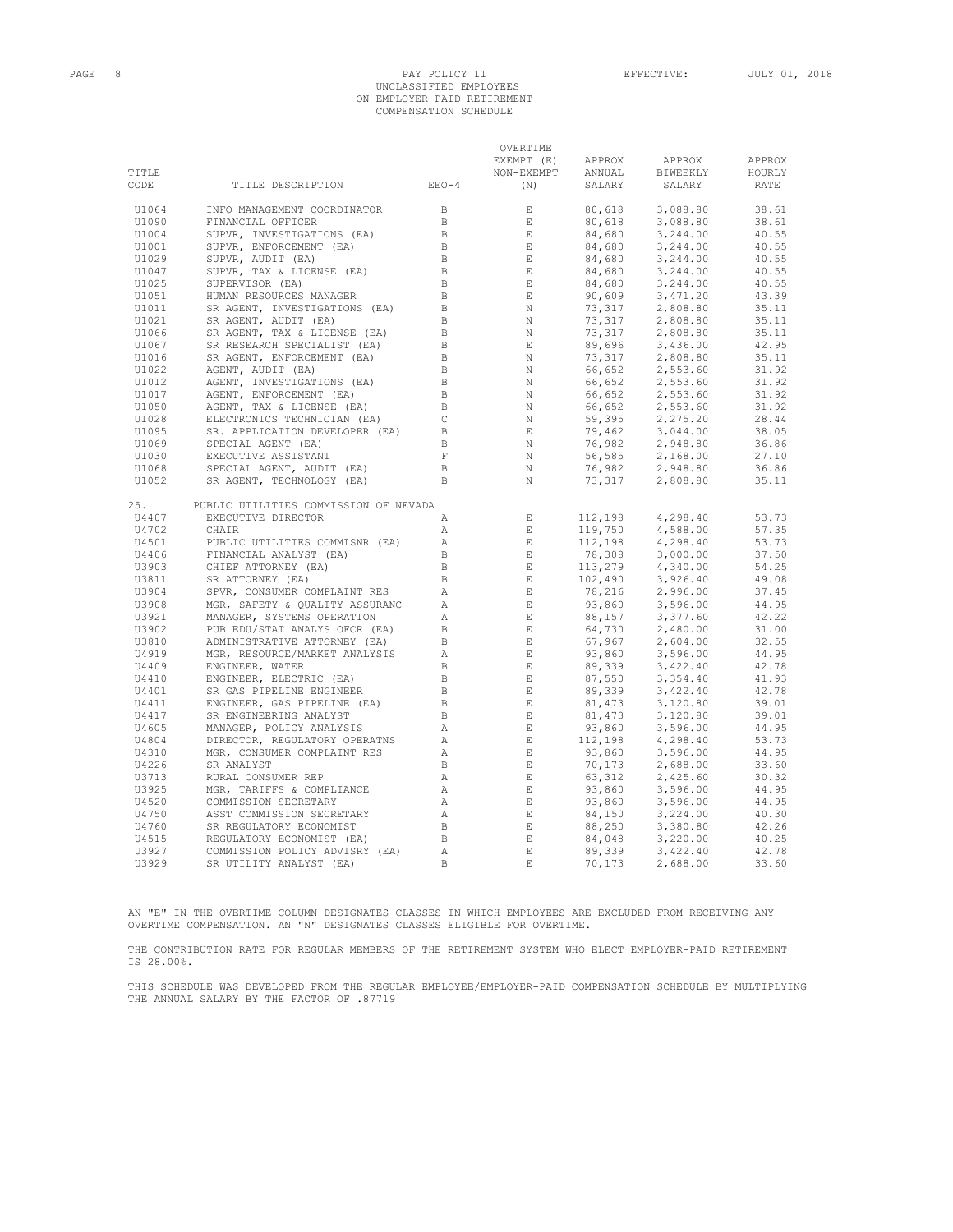### PAGE 8 PAY POLICY 11 EFFECTIVE: JULY 01, 2018 UNCLASSIFIED EMPLOYEES ON EMPLOYER PAID RETIREMENT COMPENSATION SCHEDULE

OVERTIME

|                |                                                             |                   | OVERTIME                 |                                                     |                      |        |
|----------------|-------------------------------------------------------------|-------------------|--------------------------|-----------------------------------------------------|----------------------|--------|
|                |                                                             |                   | EXEMPT (E)               | APPROX                                              | APPROX               | APPROX |
| TITLE          |                                                             |                   | NON-EXEMPT               | ANNUAL                                              | BIWEEKLY             | HOURLY |
| CODE           | TITLE DESCRIPTION                                           | $EEO-4$           | (N)                      | SALARY                                              | SALARY               | RATE   |
| U1064          | INFO MANAGEMENT COORDINATOR                                 | B                 | E                        | 80,618                                              | 3,088.80             | 38.61  |
| U1090          | FINANCIAL OFFICER                                           | $\mathbf B$       | $\,$ E                   | 80,618                                              | 3,088.80             | 38.61  |
| U1004          | SUPVR, INVESTIGATIONS (EA)                                  | $\Box$            | $\mathop{}\mathopen{} E$ | 84,680                                              | 3,244.00             | 40.55  |
| U1001          | SUPVR, ENFORCEMENT (EA)                                     | B                 | $\,$ E                   | 84,680                                              | 3,244.00             | 40.55  |
| U1029          | SUPVR, AUDIT (EA)                                           | $\,$ B            | $\mathbf{E}$             | 84,680                                              | 3,244.00             | 40.55  |
| U1047          | SUPVR, TAX & LICENSE (EA)                                   | B                 | $\,$ E                   |                                                     | 3,244.00             | 40.55  |
| U1025          | SUPERVISOR (EA)                                             | B                 | E                        | <sup>04,680</sup><br>84,680                         | 3,244.00             | 40.55  |
| U1051          | HUMAN RESOURCES MANAGER                                     | $\, {\bf B}$      | $\mathbf{E}$             | 90,609                                              | 3,471.20             | 43.39  |
| U1011          | SR AGENT, INVESTIGATIONS (EA)                               | B                 | $\,$ N                   | 73,317                                              | 2,808.80             | 35.11  |
| U1021          | SR AGENT, AUDIT (EA)                                        | B                 | N                        | 73, 317<br>73, 317<br>73, 317<br>89, 696<br>73, 317 | 2,808.80             | 35.11  |
| U1066          | SR AGENT, TAX & LICENSE (EA)                                | $\Box$            | $\,$ N                   |                                                     | 2,808.80             | 35.11  |
| U1067          | SR RESEARCH SPECIALIST (EA)                                 | $\,$ B            | $\,$ E                   |                                                     | 3,436.00             | 42.95  |
| U1016          | SR AGENT, ENFORCEMENT (EA)                                  | B                 | N                        | $73,317$<br>66,652<br>66,652<br>66,652              | 2,808.80             | 35.11  |
| U1022          | AGENT, AUDIT (EA)                                           | $\, {\bf B}$      | N                        |                                                     | 2,553.60             | 31.92  |
| U1012          | AGENT, INVESTIGATIONS (EA)                                  | B                 | N                        |                                                     | 2,553.60             | 31.92  |
| U1017          | AGENT, ENFORCEMENT (EA)                                     | $\,$ B            | N                        |                                                     | 2,553.60             | 31.92  |
| U1050          | AGENT, TAX & LICENSE (EA)                                   | $\, {\bf B}$      | $\,$ N                   |                                                     | 2,553.60             | 31.92  |
| U1028          | ELECTRONICS TECHNICIAN (EA)                                 | $\mathsf{C}$      | N                        | $66, 652$<br>59, 395<br>79, 462                     | 2,275.20             | 28.44  |
| U1095          | SR. APPLICATION DEVELOPER (EA)                              | B                 | $\mathbf E$              |                                                     | 3,044.00             | 38.05  |
| U1069          | SPECIAL AGENT (EA)                                          | $\, {\bf B}$      | $\, {\rm N}$             |                                                     | 2,948.80             | 36.86  |
| U1030          | EXECUTIVE ASSISTANT                                         | $\,$ F            | N                        |                                                     | 2,168.00             | 27.10  |
|                |                                                             |                   |                          | $76,982$<br>56,585<br>76,982                        | 2,948.80             | 36.86  |
| U1068<br>U1052 | SPECIAL AGENT, AUDIT (EA)<br>SR AGENT, TECHNOLOGY (EA)      | B<br>$\, {\bf B}$ | N<br>N                   | 73,317                                              | 2,808.80             | 35.11  |
|                |                                                             |                   |                          |                                                     |                      |        |
| 25.<br>U4407   | PUBLIC UTILITIES COMMISSION OF NEVADA<br>EXECUTIVE DIRECTOR | Α                 | $\mathbf E$              | 112,198                                             | 4,298.40             | 53.73  |
| U4702          | CHAIR                                                       | $\mathbb{A}$      | E                        | 119,750                                             | 4,588.00             | 57.35  |
| U4501          |                                                             | Α                 | $\,$ E                   | 112,198                                             |                      | 53.73  |
|                | PUBLIC UTILITIES COMMISNR (EA)                              | $\, {\bf B}$      | $\quad$ E                | 78,308                                              | 4,298.40<br>3,000.00 | 37.50  |
| U4406          | FINANCIAL ANALYST (EA)                                      | $\,$ B            | $\,$ E                   |                                                     |                      |        |
| U3903          | CHIEF ATTORNEY (EA)                                         |                   |                          | 113,279                                             | 4,340.00             | 54.25  |
| U3811          | SR ATTORNEY (EA)                                            | $\, {\bf B}$      | $\mathbf{E}$             | 102,490                                             | 3,926.40             | 49.08  |
| U3904          | SPVR, CONSUMER COMPLAINT RES                                | Α                 | $\,$ E                   | 78,216                                              | 2,996.00             | 37.45  |
| U3908          | MGR, SAFETY & QUALITY ASSURANC                              | $\mathbb{A}$      | $\,$ E                   | 93,860                                              | 3,596.00             | 44.95  |
| U3921          | MANAGER, SYSTEMS OPERATION                                  | А                 | E                        | 88,157                                              | 3,377.60             | 42.22  |
| U3902          | PUB EDU/STAT ANALYS OFCR (EA)                               | $\,$ B            | $\,$ E                   | 88,157<br>64,730<br>67,967<br>93,860                | 2,480.00             | 31.00  |
| U3810          | ADMINISTRATIVE ATTORNEY (EA)                                | B                 | $\,$ E                   |                                                     | 2,604.00             | 32.55  |
| U4919          | MGR, RESOURCE/MARKET ANALYSIS                               | Α                 | $\mathbf E$              |                                                     | 3,596.00             | 44.95  |
| U4409          | ENGINEER, WATER                                             | $\, {\bf B}$      | $\,$ E                   | 89,339<br>87,550                                    | 3,422.40             | 42.78  |
| U4410          | ENGINEER, ELECTRIC (EA)                                     | B                 | $\,$ E                   |                                                     | 3,354.40             | 41.93  |
| U4401          | SR GAS PIPELINE ENGINEER                                    | B                 | E                        | 89,339                                              | 3,422.40             | 42.78  |
| U4411          | ENGINEER, GAS PIPELINE (EA)                                 | $\,$ B            | $\mathbf E$              | 81,473                                              | 3,120.80             | 39.01  |
| U4417          | SR ENGINEERING ANALYST                                      | B                 | $\,$ E                   | 81,473                                              | 3,120.80             | 39.01  |
| U4605          | MANAGER, POLICY ANALYSIS                                    | Α                 | E                        | 93,860                                              | 3,596.00             | 44.95  |
| U4804          | DIRECTOR, REGULATORY OPERATNS                               | Α                 | $\,$ E                   | 112,198                                             | 4,298.40             | 53.73  |
| U4310          | MGR, CONSUMER COMPLAINT RES                                 | Α                 | $\,$ E                   | 93,860                                              | 3,596.00             | 44.95  |
| U4226          | SR ANALYST                                                  | B                 | $\mathbf E$              | 70,173                                              | 2,688.00             | 33.60  |
| U3713          | RURAL CONSUMER REP                                          | Α                 | $\,$ E                   | 63,312                                              | 2,425.60             | 30.32  |
| U3925          | MGR, TARIFFS & COMPLIANCE                                   | Α                 | $\,$ E                   | 93,860                                              | 3,596.00             | 44.95  |
| U4520          | COMMISSION SECRETARY                                        | Α                 | E                        | 93,860                                              | 3,596.00             | 44.95  |
| U4750          | ASST COMMISSION SECRETARY                                   | A                 | $\mathop{}\mathopen{} E$ | 84,150                                              | 3,224.00             | 40.30  |
| U4760          | SR REGULATORY ECONOMIST                                     | B                 | $\,$ E                   | 88,250                                              | 3,380.80             | 42.26  |
| U4515          | REGULATORY ECONOMIST (EA)                                   | B                 | $\mathbf E$              | 84,048                                              | 3,220.00             | 40.25  |
| U3927          | COMMISSION POLICY ADVISRY (EA)                              | Α                 | $\mathop{}\mathbb{E}$    | 89,339                                              | 3,422.40             | 42.78  |
| U3929          | SR UTILITY ANALYST (EA)                                     | $\overline{B}$    | $\mathbf E$              | 70,173                                              | 2,688.00             | 33.60  |
|                |                                                             |                   |                          |                                                     |                      |        |

AN "E" IN THE OVERTIME COLUMN DESIGNATES CLASSES IN WHICH EMPLOYEES ARE EXCLUDED FROM RECEIVING ANY OVERTIME COMPENSATION. AN "N" DESIGNATES CLASSES ELIGIBLE FOR OVERTIME.

THE CONTRIBUTION RATE FOR REGULAR MEMBERS OF THE RETIREMENT SYSTEM WHO ELECT EMPLOYER-PAID RETIREMENT IS 28.00%.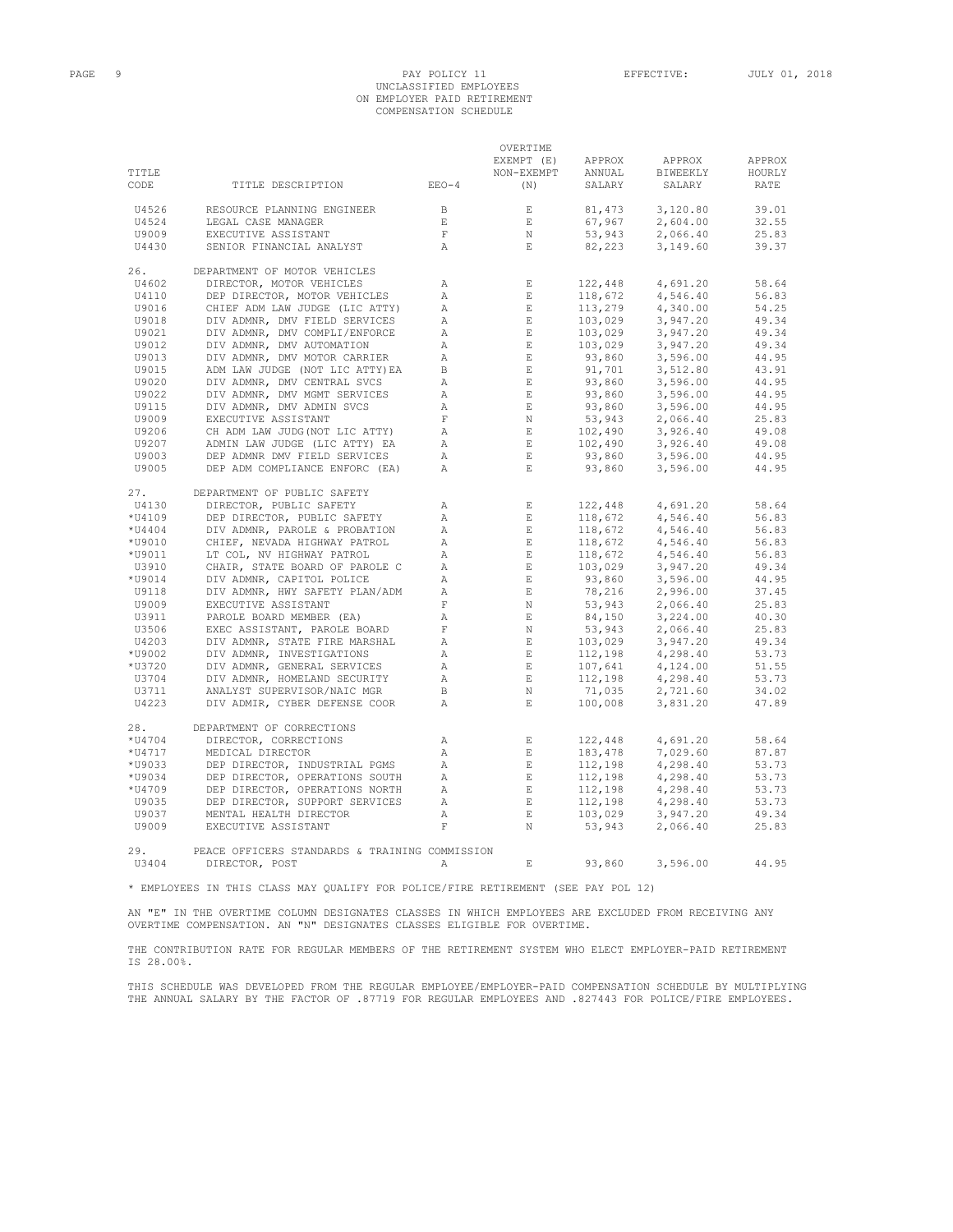### PAGE 9 PAY POLICY 11 EFFECTIVE: JULY 01, 2018 UNCLASSIFIED EMPLOYEES ON EMPLOYER PAID RETIREMENT COMPENSATION SCHEDULE

OVERTIME

| TITLE<br>CODE | TITLE DESCRIPTION                              | $EEO-4$               | EXEMPT (E)<br>NON-EXEMPT<br>(N) | APPROX<br>ANNUAL<br>SALARY | APPROX<br>BIWEEKLY<br>SALARY | APPROX<br>HOURLY<br>RATE |
|---------------|------------------------------------------------|-----------------------|---------------------------------|----------------------------|------------------------------|--------------------------|
|               |                                                |                       |                                 |                            |                              |                          |
| U4526         | RESOURCE PLANNING ENGINEER                     | $\, {\bf B}$          | $\mathbb E$                     | 81,473                     | 3,120.80                     | 39.01                    |
| U4524         | LEGAL CASE MANAGER                             | $\mathop{}\mathbb{E}$ | $\,$ E                          | 67,967                     | 2,604.00                     | 32.55                    |
| U9009         | EXECUTIVE ASSISTANT                            | $\mathbf F$           | $\mathbb N$                     | 53,943                     | 2,066.40                     | 25.83                    |
| U4430         | SENIOR FINANCIAL ANALYST                       | $\mathbb{A}$          | $\mathbf E$                     | 82,223                     | 3,149.60                     | 39.37                    |
| 26.           | DEPARTMENT OF MOTOR VEHICLES                   |                       |                                 |                            |                              |                          |
| U4602         | DIRECTOR, MOTOR VEHICLES                       | Α                     | $\,$ E                          | 122,448                    | 4,691.20                     | 58.64                    |
| U4110         | DEP DIRECTOR, MOTOR VEHICLES                   | Α                     | $\mathbf E$                     | 118,672                    | 4,546.40                     | 56.83                    |
| U9016         | CHIEF ADM LAW JUDGE (LIC ATTY)                 | $\mathbb{A}$          | E                               | 113,279                    | 4,340.00                     | 54.25                    |
| U9018         | DIV ADMNR, DMV FIELD SERVICES                  | Α                     | E                               | 103,029                    | 3,947.20                     | 49.34                    |
| U9021         | DIV ADMNR, DMV COMPLI/ENFORCE                  | $\mathbb{A}$          | E                               | 103,029                    | 3,947.20                     | 49.34                    |
| U9012         | DIV ADMNR, DMV AUTOMATION                      | Α                     | E                               | 103,029                    | 3,947.20                     | 49.34                    |
| U9013         | DIV ADMNR, DMV MOTOR CARRIER                   | Α                     | E                               | 93,860                     | 3,596.00                     | 44.95                    |
| U9015         | ADM LAW JUDGE (NOT LIC ATTY) EA                | B                     | $\mathbf E$                     | 91,701                     | 3,512.80                     | 43.91                    |
| U9020         | DIV ADMNR, DMV CENTRAL SVCS                    | Α                     | $\mathbf E$                     | 93,860                     | 3,596.00                     | 44.95                    |
| U9022         | DIV ADMNR, DMV MGMT SERVICES                   | Α                     | E                               | 93,860                     | 3,596.00                     | 44.95                    |
| U9115         | DIV ADMNR, DMV ADMIN SVCS                      | Α                     | E                               | 93,860                     | 3,596.00                     | 44.95                    |
| U9009         | EXECUTIVE ASSISTANT                            | $\mathbf F$           | $\mathbb N$                     | 53,943                     | 2,066.40                     | 25.83                    |
| U9206         | CH ADM LAW JUDG (NOT LIC ATTY)                 | Α                     | $\mathop{}\mathopen{} E$        | 102,490                    | 3,926.40                     | 49.08                    |
| U9207         | ADMIN LAW JUDGE (LIC ATTY) EA                  | Α                     | $\mathbf{E}$                    | 102,490                    | 3,926.40                     | 49.08                    |
| U9003         | DEP ADMNR DMV FIELD SERVICES                   | Α                     | $\mathbf{E}$                    | 93,860                     | 3,596.00                     | 44.95                    |
| U9005         | DEP ADM COMPLIANCE ENFORC (EA)                 | Α                     | $\mathbf{E}$                    | 93,860                     | 3,596.00                     | 44.95                    |
| 27.           | DEPARTMENT OF PUBLIC SAFETY                    |                       |                                 |                            |                              |                          |
| U4130         | DIRECTOR, PUBLIC SAFETY                        | Α                     | E                               | 122,448                    | 4,691.20                     | 58.64                    |
| *U4109        | DEP DIRECTOR, PUBLIC SAFETY                    | $\mathbb{A}$          | $\,$ E                          | 118,672                    | 4,546.40                     | 56.83                    |
| *U4404        | DIV ADMNR, PAROLE & PROBATION                  | Α                     | $\,$ E                          | 118,672                    | 4,546.40                     | 56.83                    |
| *U9010        | CHIEF, NEVADA HIGHWAY PATROL                   | $\mathbb{A}$          | E                               | 118,672                    | 4,546.40                     | 56.83                    |
| *U9011        | LT COL, NV HIGHWAY PATROL                      | Α                     | $\,$ E                          | 118,672                    | 4,546.40                     | 56.83                    |
| U3910         | CHAIR, STATE BOARD OF PAROLE C                 | Α                     | E                               | 103,029                    | 3,947.20                     | 49.34                    |
| *U9014        | DIV ADMNR, CAPITOL POLICE                      | Α                     | $\mathbf E$                     | 93,860                     | 3,596.00                     | 44.95                    |
| U9118         | DIV ADMNR, HWY SAFETY PLAN/ADM                 | Α                     | $\mathop{}\mathopen{} E$        | 78,216<br>78,216<br>53,943 | 2,996.00                     | 37.45                    |
| U9009         | EXECUTIVE ASSISTANT                            | $\mathbf F$           | $\,$ N                          |                            | 2,066.40                     | 25.83                    |
| U3911         | PAROLE BOARD MEMBER (EA)                       | Α                     | $\,$ E                          | 84,150                     | 3,224.00                     | 40.30                    |
| U3506         | EXEC ASSISTANT, PAROLE BOARD                   | $\mathbf F$           | $\,$ N                          | 53,943                     | 2,066.40                     | 25.83                    |
| U4203         | DIV ADMNR, STATE FIRE MARSHAL                  | Α                     | $\,$ E                          | 103,029                    | 3,947.20                     | 49.34                    |
| *U9002        | DIV ADMNR, INVESTIGATIONS                      | Α                     | E                               | 112,198                    | 4,298.40                     | 53.73                    |
| *U3720        | DIV ADMNR, GENERAL SERVICES                    | Α                     | $\mathbf{E}$                    | 107,641                    | 4,124.00                     | 51.55                    |
| U3704         | DIV ADMNR, HOMELAND SECURITY                   | $\mathbb{A}$          | $\,$ E                          | 112,198                    | 4,298.40                     | 53.73                    |
| U3711         | ANALYST SUPERVISOR/NAIC MGR                    | B                     | N                               | 71,035                     | 2,721.60                     | 34.02                    |
| U4223         | DIV ADMIR, CYBER DEFENSE COOR                  | Α                     | $\mathbf E$                     | 100,008                    | 3,831.20                     | 47.89                    |
| 28.           | DEPARTMENT OF CORRECTIONS                      |                       |                                 |                            |                              |                          |
| *U4704        | DIRECTOR, CORRECTIONS                          | Α                     | $\,$ E                          | 122,448                    | 4,691.20                     | 58.64                    |
| *U4717        | MEDICAL DIRECTOR                               | $\mathbb{A}$          | $\mathbf E$                     | 183,478                    | 7,029.60                     | 87.87                    |
| *U9033        | DEP DIRECTOR, INDUSTRIAL PGMS                  | Α                     | $\,$ E                          | 112,198                    | 4,298.40                     | 53.73                    |
| *U9034        | DEP DIRECTOR, OPERATIONS SOUTH                 | Α                     | $\mathbf E$                     | 112,198                    | 4,298.40                     | 53.73                    |
| *U4709        | DEP DIRECTOR, OPERATIONS NORTH                 | Α                     | $\,$ E                          | 112,198                    | 4,298.40                     | 53.73                    |
| U9035         | DEP DIRECTOR, SUPPORT SERVICES                 | Α                     | $\,$ E                          | 112,198                    | 4,298.40                     | 53.73                    |
| U9037         | MENTAL HEALTH DIRECTOR                         | Α                     | $\mathbf{E}$                    | 103,029                    | 3,947.20                     | 49.34                    |
| U9009         | EXECUTIVE ASSISTANT                            | $\mathbf F$           | N                               | 53,943                     | 2,066.40                     | 25.83                    |
| 29.           | PEACE OFFICERS STANDARDS & TRAINING COMMISSION |                       |                                 |                            |                              |                          |
| U3404         | DIRECTOR, POST                                 | Α                     | $\mathbf{E}$                    | 93,860                     | 3,596.00                     | 44.95                    |

\* EMPLOYEES IN THIS CLASS MAY QUALIFY FOR POLICE/FIRE RETIREMENT (SEE PAY POL 12)

AN "E" IN THE OVERTIME COLUMN DESIGNATES CLASSES IN WHICH EMPLOYEES ARE EXCLUDED FROM RECEIVING ANY OVERTIME COMPENSATION. AN "N" DESIGNATES CLASSES ELIGIBLE FOR OVERTIME.

THE CONTRIBUTION RATE FOR REGULAR MEMBERS OF THE RETIREMENT SYSTEM WHO ELECT EMPLOYER-PAID RETIREMENT IS 28.00%.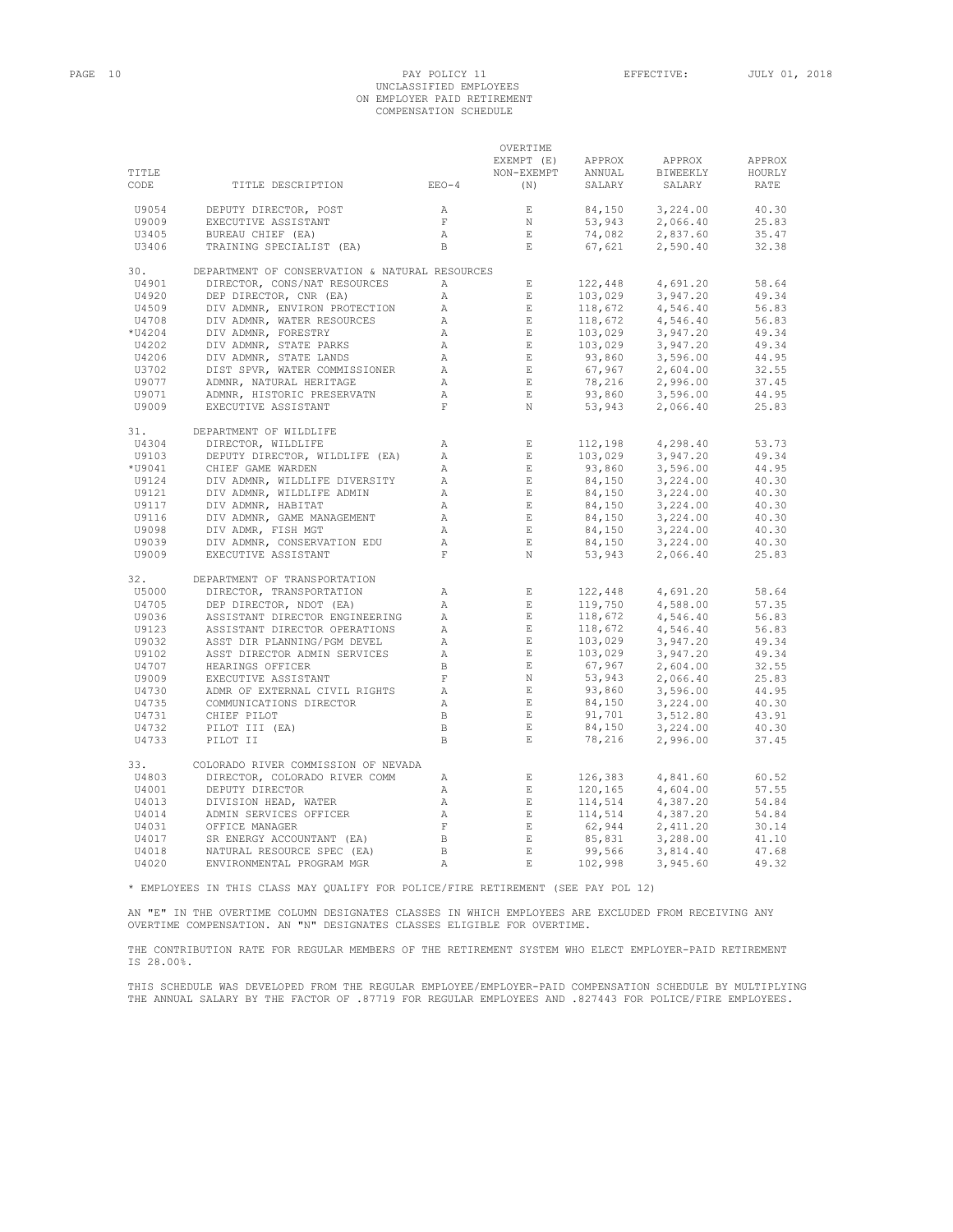# PAGE 10 PAY POLICY 11 EFFECTIVE: JULY 01, 2018 UNCLASSIFIED EMPLOYEES ON EMPLOYER PAID RETIREMENT COMPENSATION SCHEDULE

|                |                                                                              |                        | OVERTIME                     |                                                                                                                                                |                      |                |
|----------------|------------------------------------------------------------------------------|------------------------|------------------------------|------------------------------------------------------------------------------------------------------------------------------------------------|----------------------|----------------|
|                |                                                                              |                        | EXEMPT (E)                   | APPROX                                                                                                                                         | APPROX               | APPROX         |
| TITLE          |                                                                              |                        | NON-EXEMPT                   | ANNUAL                                                                                                                                         | BIWEEKLY             | HOURLY         |
| CODE           | TITLE DESCRIPTION                                                            | $EEO-4$                | (N)                          | SALARY                                                                                                                                         | SALARY               | RATE           |
|                |                                                                              |                        |                              |                                                                                                                                                |                      |                |
| U9054          | DEPUTY DIRECTOR, POST                                                        | A                      | E                            | 84,150                                                                                                                                         | 3,224.00             | 40.30          |
| U9009          | EXECUTIVE ASSISTANT                                                          | $\mathbf F$            | N                            | 53,943                                                                                                                                         | 2,066.40             | 25.83          |
| U3405          |                                                                              | $\mathbb{A}$           | $\mathbf E$                  | 74,082                                                                                                                                         |                      |                |
|                | BUREAU CHIEF (EA)                                                            |                        |                              |                                                                                                                                                | 2,837.60             | 35.47          |
| U3406          | TRAINING SPECIALIST (EA)                                                     | B.                     | $\mathbf{E}$                 | 67,621                                                                                                                                         | 2,590.40             | 32.38          |
| 30.            | DEPARTMENT OF CONSERVATION & NATURAL RESOURCES                               |                        |                              |                                                                                                                                                |                      |                |
| U4901          | DIRECTOR, CONS/NAT RESOURCES                                                 | A                      | $\mathbf{E}$                 | 122,448                                                                                                                                        | 4,691.20             | 58.64          |
| U4920          | DEP DIRECTOR, CNR (EA)                                                       | $\mathbb{A}$           | $\mathbf E$                  | 103,029                                                                                                                                        | 3,947.20             | 49.34          |
| U4509          | DIV ADMNR, ENVIRON PROTECTION                                                | $\mathbb{A}$           | $\quad$ E                    |                                                                                                                                                |                      | 56.83          |
|                |                                                                              |                        |                              | $103,029$<br>$118,672$<br>$118,672$<br>$132,022$                                                                                               | 4,546.40             |                |
| U4708          | DIV ADMNR, WATER RESOURCES                                                   | $\mathbb{A}$           | $\,$ E                       |                                                                                                                                                | 4,546.40             | 56.83          |
| $*$ U4204      | DIV ADMNR, FORESTRY                                                          | А                      | $\quad$ E                    |                                                                                                                                                | 3,947.20             | 49.34          |
| U4202          | DIV ADMNR, STATE PARKS                                                       | А                      | E                            |                                                                                                                                                | 3,947.20             | 49.34          |
| U4206          | DIV ADMNR, STATE LANDS<br>DIST SPVR, WATER COMMISSIONER                      | $\mathbb{A}$           | $\quad$ E                    |                                                                                                                                                | 3,596.00             | 44.95          |
| U3702          |                                                                              | $\mathbb A$            | $\mathbf E$                  |                                                                                                                                                | 2,604.00             | 32.55          |
| U9077          | ADMNR, NATURAL HERITAGE                                                      | А                      | E                            | $103,029$<br>$103,029$<br>$93,860$<br>$67,967$<br>$78,216$<br>$93,860$                                                                         | 2,996.00             | 37.45          |
| U9071          | ADMNR, HISTORIC PRESERVATN                                                   | $\mathbb{A}$           | E                            |                                                                                                                                                | 3,596.00             | 44.95          |
| U9009          | ADMNR, NATURAL HERE:<br>ADMNR, HISTORIC PRE:<br>EXECUTIVE ASSISTANT          | $\mathbf F$            | N                            | 53,943                                                                                                                                         | 2,066.40             | 25.83          |
|                |                                                                              |                        |                              |                                                                                                                                                |                      |                |
| 31.            | DEPARTMENT OF WILDLIFE                                                       |                        |                              |                                                                                                                                                |                      |                |
| U4304          | DIRECTOR, WILDLIFE                                                           | $\mathbb{A}$           | E                            | 112,198                                                                                                                                        | 4,298.40             | 53.73          |
| U9103          | DEPUTY DIRECTOR, WILDLIFE (EA)                                               | $\mathbb{A}$           | $\;$ E                       | 103,029                                                                                                                                        | 3,947.20             | 49.34          |
| *U9041         | CHIEF GAME WARDEN                                                            | $\mathbb{A}$           | $\_$ E                       | 93,860<br>93,860<br>84,150<br>84,150<br>84,150<br>84,150                                                                                       | 3,596.00             | 44.95          |
| U9124          | DIV ADMNR, WILDLIFE DIVERSITY                                                | $\mathbb{A}$           | E                            |                                                                                                                                                | 3,224.00             | 40.30          |
| U9121          | DIV ADMNR, WILDLIFE ADMIN                                                    | Α                      | E                            |                                                                                                                                                | 3,224.00             | 40.30          |
| U9117          | DIV ADMNR, HABITAT                                                           | Α                      | E                            |                                                                                                                                                | 3,224.00             | 40.30          |
| U9116          | DIV ADMNR, GAME MANAGEMENT                                                   | А                      | E                            |                                                                                                                                                | 3,224.00             | 40.30          |
| U9098          | DIV ADMR, FISH MGT                                                           | А                      | $\,$ E                       |                                                                                                                                                | 3,224.00             | 40.30          |
| U9039          | DIV ADMNR, CONSERVATION EDU                                                  | Α                      | $\,$ E $\,$                  | $84,150$<br>$84,150$<br>$84,150$                                                                                                               | 3,224.00             | 40.30          |
| U9009          | EXECUTIVE ASSISTANT                                                          | $\mathbf F$            | $\,$ N                       | 53,943                                                                                                                                         | 2,066.40             | 25.83          |
|                |                                                                              |                        |                              |                                                                                                                                                |                      |                |
| 32.            | DEPARTMENT OF TRANSPORTATION                                                 |                        |                              |                                                                                                                                                |                      |                |
| U5000          | DIRECTOR, TRANSPORTATION                                                     | $\mathbb{A}$           | E                            | 122,448                                                                                                                                        | 4,691.20             | 58.64          |
| U4705          | DEP DIRECTOR, NDOT (EA)                                                      | $\mathbb{A}$           | $\quad$ E                    | 119,750                                                                                                                                        | 4,588.00             | 57.35          |
| U9036          | ASSISTANT DIRECTOR ENGINEERING                                               | $\mathbb{A}$           | E                            |                                                                                                                                                | 4,546.40             | 56.83          |
| U9123          | ASSISTANT DIRECTOR OPERATIONS                                                | Α                      | $\quad$ E                    |                                                                                                                                                | 4,546.40             | 56.83          |
| U9032          | ASST DIR PLANNING/PGM DEVEL                                                  | Α                      | $\mathbf E$                  |                                                                                                                                                | 3,947.20             | 49.34          |
| U9102          | ASST DIRECTOR ADMIN SERVICES                                                 | $\mathbb{A}$           | $\quad$ E                    |                                                                                                                                                | 3,947.20             | 49.34          |
| U4707          | HEARINGS OFFICER                                                             | $\, {\bf B}$           | $\;$ E                       |                                                                                                                                                | 2,604.00             | 32.55          |
| U9009          |                                                                              | $\mathbf F$            | N                            |                                                                                                                                                | 2,066.40             | 25.83          |
| U4730          | EXECUTIVE ASSISTANT<br>ADMR OF EXTERNAL CIVIL RIGHTS                         | Α                      | $\mathbb E$                  |                                                                                                                                                | 3,596.00             | 44.95          |
| U4735          | COMMUNICATIONS DIRECTOR<br>COMMUNICATIONS DIRECTOR<br>CHIEF PTLOT            | Α                      | E                            |                                                                                                                                                | 3,224.00             | 40.30          |
| U4731          |                                                                              | $\, {\bf B}$           | $\,$ E                       |                                                                                                                                                |                      | 43.91          |
|                |                                                                              |                        |                              |                                                                                                                                                | 3,512.80             |                |
| U4732<br>U4733 | PILOT III (EA)<br>PILOT II                                                   | $\, {\bf B}$<br>$\,$ B | $\mathbf{E}$<br>$\mathbf{E}$ | $\begin{array}{l} 119,750\\ 118,672\\ 138,672\\ 103,029\\ 103,029\\ 67,967\\ 53,943\\ 93,860\\ 91,701\\ 84,150\\ 78,216 \end{array}$<br>78,216 | 3,224.00<br>2,996.00 | 40.30<br>37.45 |
|                |                                                                              |                        |                              |                                                                                                                                                |                      |                |
| 33.            | COLORADO RIVER COMMISSION OF NEVADA                                          |                        |                              |                                                                                                                                                |                      |                |
| U4803          | DIRECTOR, COLORADO RIVER COMM                                                | $\mathbb{A}$           | $\,$ E                       | 126,383                                                                                                                                        | 4,841.60             | 60.52          |
| U4001          | DEPUTY DIRECTOR                                                              | Α                      | E                            | 120, 165<br>114, 514<br>114, 514<br>62, 944                                                                                                    | 4,604.00             | 57.55          |
| U4013          | DIVISION HEAD, WATER                                                         | $\mathbb{A}$           | $\,$ E                       |                                                                                                                                                | 4,387.20             | 54.84          |
| U4014          | DIVISION HEAD,<br>ADMIN SERVICES<br>OFFICE MANAGER<br>ADMIN SERVICES OFFICER | A                      | $\mathbf E$                  |                                                                                                                                                | 4,387.20             | 54.84          |
| U4031          |                                                                              | $\mathbf F$            | $\mathbf{E}$                 |                                                                                                                                                | 2,411.20             | 30.14          |
| U4017          | SR ENERGY ACCOUNTANT (EA)                                                    | $\Box$                 | $\mathop{}\!\textnormal{E}$  | 85,831                                                                                                                                         | 3,288.00             | 41.10          |
| U4018          | NATURAL RESOURCE SPEC (EA)                                                   | $\,$ B                 | $\mathbf E$                  | 99,566                                                                                                                                         | 3,814.40             | 47.68          |
|                |                                                                              | A                      | $\mathbf{E}$                 |                                                                                                                                                |                      |                |
| U4020          | ENVIRONMENTAL PROGRAM MGR                                                    |                        |                              | 102,998                                                                                                                                        | 3,945.60             | 49.32          |

\* EMPLOYEES IN THIS CLASS MAY QUALIFY FOR POLICE/FIRE RETIREMENT (SEE PAY POL 12)

AN "E" IN THE OVERTIME COLUMN DESIGNATES CLASSES IN WHICH EMPLOYEES ARE EXCLUDED FROM RECEIVING ANY OVERTIME COMPENSATION. AN "N" DESIGNATES CLASSES ELIGIBLE FOR OVERTIME.

THE CONTRIBUTION RATE FOR REGULAR MEMBERS OF THE RETIREMENT SYSTEM WHO ELECT EMPLOYER-PAID RETIREMENT IS 28.00%.